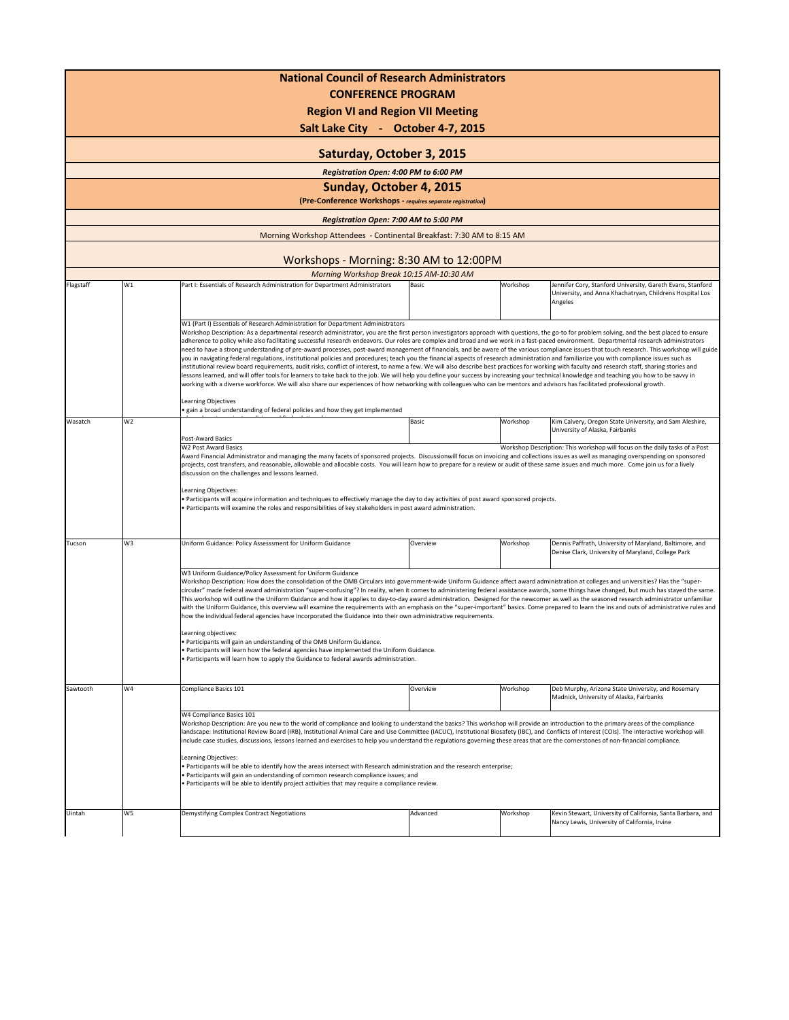|           |                                                                                                                                                                                                                                                                                                                                                                                                                                                                                                                                                                                                                                                                                                                                                                                                                                                                                                                                                                                                                                                                                                                                                                                                                                                         | <b>National Council of Research Administrators</b><br><b>CONFERENCE PROGRAM</b><br><b>Region VI and Region VII Meeting</b><br>Salt Lake City - October 4-7, 2015                                                                                                                                                                                                                                                                                                                                                                                                                                                                                                                                                                                                                                                                                                                                                                                                                                                                                                                                                                                                                                                                                                                                                                                                                                                                                                                  |                                                                                                                                                                                                                                                                                                                                                                                                                                                                                                                                                                                                                                                                                                                                                                                                                                                                                                                                  |          |                                                                                                                                   |  |  |
|-----------|---------------------------------------------------------------------------------------------------------------------------------------------------------------------------------------------------------------------------------------------------------------------------------------------------------------------------------------------------------------------------------------------------------------------------------------------------------------------------------------------------------------------------------------------------------------------------------------------------------------------------------------------------------------------------------------------------------------------------------------------------------------------------------------------------------------------------------------------------------------------------------------------------------------------------------------------------------------------------------------------------------------------------------------------------------------------------------------------------------------------------------------------------------------------------------------------------------------------------------------------------------|-----------------------------------------------------------------------------------------------------------------------------------------------------------------------------------------------------------------------------------------------------------------------------------------------------------------------------------------------------------------------------------------------------------------------------------------------------------------------------------------------------------------------------------------------------------------------------------------------------------------------------------------------------------------------------------------------------------------------------------------------------------------------------------------------------------------------------------------------------------------------------------------------------------------------------------------------------------------------------------------------------------------------------------------------------------------------------------------------------------------------------------------------------------------------------------------------------------------------------------------------------------------------------------------------------------------------------------------------------------------------------------------------------------------------------------------------------------------------------------|----------------------------------------------------------------------------------------------------------------------------------------------------------------------------------------------------------------------------------------------------------------------------------------------------------------------------------------------------------------------------------------------------------------------------------------------------------------------------------------------------------------------------------------------------------------------------------------------------------------------------------------------------------------------------------------------------------------------------------------------------------------------------------------------------------------------------------------------------------------------------------------------------------------------------------|----------|-----------------------------------------------------------------------------------------------------------------------------------|--|--|
|           |                                                                                                                                                                                                                                                                                                                                                                                                                                                                                                                                                                                                                                                                                                                                                                                                                                                                                                                                                                                                                                                                                                                                                                                                                                                         | Saturday, October 3, 2015                                                                                                                                                                                                                                                                                                                                                                                                                                                                                                                                                                                                                                                                                                                                                                                                                                                                                                                                                                                                                                                                                                                                                                                                                                                                                                                                                                                                                                                         |                                                                                                                                                                                                                                                                                                                                                                                                                                                                                                                                                                                                                                                                                                                                                                                                                                                                                                                                  |          |                                                                                                                                   |  |  |
|           |                                                                                                                                                                                                                                                                                                                                                                                                                                                                                                                                                                                                                                                                                                                                                                                                                                                                                                                                                                                                                                                                                                                                                                                                                                                         | Registration Open: 4:00 PM to 6:00 PM                                                                                                                                                                                                                                                                                                                                                                                                                                                                                                                                                                                                                                                                                                                                                                                                                                                                                                                                                                                                                                                                                                                                                                                                                                                                                                                                                                                                                                             |                                                                                                                                                                                                                                                                                                                                                                                                                                                                                                                                                                                                                                                                                                                                                                                                                                                                                                                                  |          |                                                                                                                                   |  |  |
|           |                                                                                                                                                                                                                                                                                                                                                                                                                                                                                                                                                                                                                                                                                                                                                                                                                                                                                                                                                                                                                                                                                                                                                                                                                                                         | Sunday, October 4, 2015                                                                                                                                                                                                                                                                                                                                                                                                                                                                                                                                                                                                                                                                                                                                                                                                                                                                                                                                                                                                                                                                                                                                                                                                                                                                                                                                                                                                                                                           |                                                                                                                                                                                                                                                                                                                                                                                                                                                                                                                                                                                                                                                                                                                                                                                                                                                                                                                                  |          |                                                                                                                                   |  |  |
|           |                                                                                                                                                                                                                                                                                                                                                                                                                                                                                                                                                                                                                                                                                                                                                                                                                                                                                                                                                                                                                                                                                                                                                                                                                                                         | (Pre-Conference Workshops - requires separate registration)                                                                                                                                                                                                                                                                                                                                                                                                                                                                                                                                                                                                                                                                                                                                                                                                                                                                                                                                                                                                                                                                                                                                                                                                                                                                                                                                                                                                                       |                                                                                                                                                                                                                                                                                                                                                                                                                                                                                                                                                                                                                                                                                                                                                                                                                                                                                                                                  |          |                                                                                                                                   |  |  |
|           |                                                                                                                                                                                                                                                                                                                                                                                                                                                                                                                                                                                                                                                                                                                                                                                                                                                                                                                                                                                                                                                                                                                                                                                                                                                         | Registration Open: 7:00 AM to 5:00 PM                                                                                                                                                                                                                                                                                                                                                                                                                                                                                                                                                                                                                                                                                                                                                                                                                                                                                                                                                                                                                                                                                                                                                                                                                                                                                                                                                                                                                                             |                                                                                                                                                                                                                                                                                                                                                                                                                                                                                                                                                                                                                                                                                                                                                                                                                                                                                                                                  |          |                                                                                                                                   |  |  |
|           |                                                                                                                                                                                                                                                                                                                                                                                                                                                                                                                                                                                                                                                                                                                                                                                                                                                                                                                                                                                                                                                                                                                                                                                                                                                         | Morning Workshop Attendees - Continental Breakfast: 7:30 AM to 8:15 AM                                                                                                                                                                                                                                                                                                                                                                                                                                                                                                                                                                                                                                                                                                                                                                                                                                                                                                                                                                                                                                                                                                                                                                                                                                                                                                                                                                                                            |                                                                                                                                                                                                                                                                                                                                                                                                                                                                                                                                                                                                                                                                                                                                                                                                                                                                                                                                  |          |                                                                                                                                   |  |  |
|           |                                                                                                                                                                                                                                                                                                                                                                                                                                                                                                                                                                                                                                                                                                                                                                                                                                                                                                                                                                                                                                                                                                                                                                                                                                                         | Workshops - Morning: 8:30 AM to 12:00PM                                                                                                                                                                                                                                                                                                                                                                                                                                                                                                                                                                                                                                                                                                                                                                                                                                                                                                                                                                                                                                                                                                                                                                                                                                                                                                                                                                                                                                           |                                                                                                                                                                                                                                                                                                                                                                                                                                                                                                                                                                                                                                                                                                                                                                                                                                                                                                                                  |          |                                                                                                                                   |  |  |
|           |                                                                                                                                                                                                                                                                                                                                                                                                                                                                                                                                                                                                                                                                                                                                                                                                                                                                                                                                                                                                                                                                                                                                                                                                                                                         | Morning Workshop Break 10:15 AM-10:30 AM                                                                                                                                                                                                                                                                                                                                                                                                                                                                                                                                                                                                                                                                                                                                                                                                                                                                                                                                                                                                                                                                                                                                                                                                                                                                                                                                                                                                                                          |                                                                                                                                                                                                                                                                                                                                                                                                                                                                                                                                                                                                                                                                                                                                                                                                                                                                                                                                  |          |                                                                                                                                   |  |  |
| Flagstaff | W1                                                                                                                                                                                                                                                                                                                                                                                                                                                                                                                                                                                                                                                                                                                                                                                                                                                                                                                                                                                                                                                                                                                                                                                                                                                      | Part I: Essentials of Research Administration for Department Administrators<br>W1 (Part I) Essentials of Research Administration for Department Administrators                                                                                                                                                                                                                                                                                                                                                                                                                                                                                                                                                                                                                                                                                                                                                                                                                                                                                                                                                                                                                                                                                                                                                                                                                                                                                                                    | Basic                                                                                                                                                                                                                                                                                                                                                                                                                                                                                                                                                                                                                                                                                                                                                                                                                                                                                                                            | Workshop | Jennifer Cory, Stanford University, Gareth Evans, Stanford<br>University, and Anna Khachatryan, Childrens Hospital Los<br>Angeles |  |  |
|           |                                                                                                                                                                                                                                                                                                                                                                                                                                                                                                                                                                                                                                                                                                                                                                                                                                                                                                                                                                                                                                                                                                                                                                                                                                                         | Workshop Description: As a departmental research administrator, you are the first person investigators approach with questions, the go-to for problem solving, and the best placed to ensure<br>adherence to policy while also facilitating successful research endeavors. Our roles are complex and broad and we work in a fast-paced environment. Departmental research administrators<br>need to have a strong understanding of pre-award processes, post-award management of financials, and be aware of the various compliance issues that touch research. This workshop will guide<br>you in navigating federal regulations, institutional policies and procedures; teach you the financial aspects of research administration and familiarize you with compliance issues such as<br>institutional review board requirements, audit risks, conflict of interest, to name a few. We will also describe best practices for working with faculty and research staff, sharing stories and<br>lessons learned, and will offer tools for learners to take back to the job. We will help you define your success by increasing your technical knowledge and teaching you how to be savvy in<br>working with a diverse workforce. We will also share our experiences of how networking with colleagues who can be mentors and advisors has facilitated professional growth.<br>Learning Objectives<br>· gain a broad understanding of federal policies and how they get implemented |                                                                                                                                                                                                                                                                                                                                                                                                                                                                                                                                                                                                                                                                                                                                                                                                                                                                                                                                  |          |                                                                                                                                   |  |  |
| Wasatch   | W <sub>2</sub>                                                                                                                                                                                                                                                                                                                                                                                                                                                                                                                                                                                                                                                                                                                                                                                                                                                                                                                                                                                                                                                                                                                                                                                                                                          | Post-Award Basics                                                                                                                                                                                                                                                                                                                                                                                                                                                                                                                                                                                                                                                                                                                                                                                                                                                                                                                                                                                                                                                                                                                                                                                                                                                                                                                                                                                                                                                                 | Basic                                                                                                                                                                                                                                                                                                                                                                                                                                                                                                                                                                                                                                                                                                                                                                                                                                                                                                                            | Workshop | Kim Calvery, Oregon State University, and Sam Aleshire,<br>University of Alaska, Fairbanks                                        |  |  |
|           |                                                                                                                                                                                                                                                                                                                                                                                                                                                                                                                                                                                                                                                                                                                                                                                                                                                                                                                                                                                                                                                                                                                                                                                                                                                         | Award Financial Administrator and managing the many facets of sponsored projects. Discussionwill focus on invoicing and collections issues as well as managing overspending on sponsored<br>projects, cost transfers, and reasonable, allowable and allocable costs. You will learn how to prepare for a review or audit of these same issues and much more. Come join us for a lively<br>discussion on the challenges and lessons learned.<br>Learning Objectives:<br>. Participants will acquire information and techniques to effectively manage the day to day activities of post award sponsored projects.<br>. Participants will examine the roles and responsibilities of key stakeholders in post award administration.                                                                                                                                                                                                                                                                                                                                                                                                                                                                                                                                                                                                                                                                                                                                                   |                                                                                                                                                                                                                                                                                                                                                                                                                                                                                                                                                                                                                                                                                                                                                                                                                                                                                                                                  |          |                                                                                                                                   |  |  |
| Tucson    | W3                                                                                                                                                                                                                                                                                                                                                                                                                                                                                                                                                                                                                                                                                                                                                                                                                                                                                                                                                                                                                                                                                                                                                                                                                                                      | Uniform Guidance: Policy Assesssment for Uniform Guidance                                                                                                                                                                                                                                                                                                                                                                                                                                                                                                                                                                                                                                                                                                                                                                                                                                                                                                                                                                                                                                                                                                                                                                                                                                                                                                                                                                                                                         | Overview                                                                                                                                                                                                                                                                                                                                                                                                                                                                                                                                                                                                                                                                                                                                                                                                                                                                                                                         | Workshop | Dennis Paffrath, University of Maryland, Baltimore, and<br>Denise Clark, University of Maryland, College Park                     |  |  |
|           | W3 Uniform Guidance/Policy Assessment for Uniform Guidance<br>Workshop Description: How does the consolidation of the OMB Circulars into government-wide Uniform Guidance affect award administration at colleges and universities? Has the "super-<br>circular" made federal award administration "super-confusing"? In reality, when it comes to administering federal assistance awards, some things have changed, but much has stayed the same.<br>This workshop will outline the Uniform Guidance and how it applies to day-to-day award administration. Designed for the newcomer as well as the seasoned research administrator unfamiliar<br>with the Uniform Guidance, this overview will examine the requirements with an emphasis on the "super-important" basics. Come prepared to learn the ins and outs of administrative rules and<br>how the individual federal agencies have incorporated the Guidance into their own administrative requirements.<br>Learning objectives:<br>Participants will gain an understanding of the OMB Uniform Guidance.<br>Participants will learn how the federal agencies have implemented the Uniform Guidance.<br>· Participants will learn how to apply the Guidance to federal awards administration. |                                                                                                                                                                                                                                                                                                                                                                                                                                                                                                                                                                                                                                                                                                                                                                                                                                                                                                                                                                                                                                                                                                                                                                                                                                                                                                                                                                                                                                                                                   |                                                                                                                                                                                                                                                                                                                                                                                                                                                                                                                                                                                                                                                                                                                                                                                                                                                                                                                                  |          |                                                                                                                                   |  |  |
| Sawtooth  | W4                                                                                                                                                                                                                                                                                                                                                                                                                                                                                                                                                                                                                                                                                                                                                                                                                                                                                                                                                                                                                                                                                                                                                                                                                                                      | Compliance Basics 101                                                                                                                                                                                                                                                                                                                                                                                                                                                                                                                                                                                                                                                                                                                                                                                                                                                                                                                                                                                                                                                                                                                                                                                                                                                                                                                                                                                                                                                             | Overview                                                                                                                                                                                                                                                                                                                                                                                                                                                                                                                                                                                                                                                                                                                                                                                                                                                                                                                         | Workshop | Deb Murphy, Arizona State University, and Rosemary<br>Madnick, University of Alaska, Fairbanks                                    |  |  |
|           |                                                                                                                                                                                                                                                                                                                                                                                                                                                                                                                                                                                                                                                                                                                                                                                                                                                                                                                                                                                                                                                                                                                                                                                                                                                         | Learning Objectives:                                                                                                                                                                                                                                                                                                                                                                                                                                                                                                                                                                                                                                                                                                                                                                                                                                                                                                                                                                                                                                                                                                                                                                                                                                                                                                                                                                                                                                                              | W4 Compliance Basics 101<br>Workshop Description: Are you new to the world of compliance and looking to understand the basics? This workshop will provide an introduction to the primary areas of the compliance<br>landscape: Institutional Review Board (IRB), Institutional Animal Care and Use Committee (IACUC), Institutional Biosafety (IBC), and Conflicts of Interest (COIs). The interactive workshop will<br>include case studies, discussions, lessons learned and exercises to help you understand the regulations governing these areas that are the cornerstones of non-financial compliance.<br>. Participants will be able to identify how the areas intersect with Research administration and the research enterprise;<br>Participants will gain an understanding of common research compliance issues; and<br>Participants will be able to identify project activities that may require a compliance review. |          |                                                                                                                                   |  |  |
| Uintah    | W5                                                                                                                                                                                                                                                                                                                                                                                                                                                                                                                                                                                                                                                                                                                                                                                                                                                                                                                                                                                                                                                                                                                                                                                                                                                      | Demystifying Complex Contract Negotiations                                                                                                                                                                                                                                                                                                                                                                                                                                                                                                                                                                                                                                                                                                                                                                                                                                                                                                                                                                                                                                                                                                                                                                                                                                                                                                                                                                                                                                        | Advanced                                                                                                                                                                                                                                                                                                                                                                                                                                                                                                                                                                                                                                                                                                                                                                                                                                                                                                                         | Workshop | Kevin Stewart, University of California, Santa Barbara, and<br>Nancy Lewis, University of California, Irvine                      |  |  |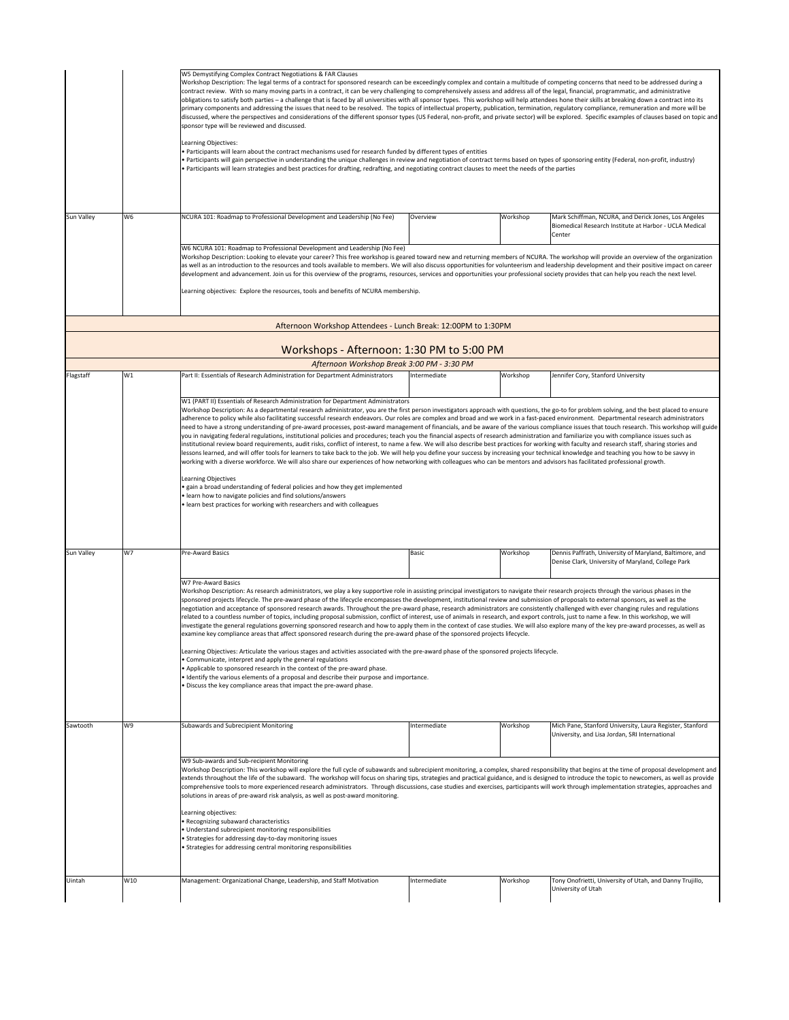|            |                                                                                                                                                                                                                                                                                                                                                                                                                                                                                                                                                                                                                                                                                                                                                                                                                                                                                                                                                                                              | W5 Demystifying Complex Contract Negotiations & FAR Clauses<br>Workshop Description: The legal terms of a contract for sponsored research can be exceedingly complex and contain a multitude of competing concerns that need to be addressed during a<br>contract review. With so many moving parts in a contract, it can be very challenging to comprehensively assess and address all of the legal, financial, programmatic, and administrative<br>obligations to satisfy both parties - a challenge that is faced by all universities with all sponsor types. This workshop will help attendees hone their skills at breaking down a contract into its<br>primary components and addressing the issues that need to be resolved. The topics of intellectual property, publication, termination, regulatory compliance, remuneration and more will be<br>discussed, where the perspectives and considerations of the different sponsor types (US Federal, non-profit, and private sector) will be explored. Specific examples of clauses based on topic and<br>sponsor type will be reviewed and discussed.<br>Learning Objectives:<br>. Participants will learn about the contract mechanisms used for research funded by different types of entities<br>Participants will gain perspective in understanding the unique challenges in review and negotiation of contract terms based on types of sponsoring entity (Federal, non-profit, industry)<br>· Participants will learn strategies and best practices for drafting, redrafting, and negotiating contract clauses to meet the needs of the parties                                                                                                                      |              |          |                                                                                                            |  |  |  |
|------------|----------------------------------------------------------------------------------------------------------------------------------------------------------------------------------------------------------------------------------------------------------------------------------------------------------------------------------------------------------------------------------------------------------------------------------------------------------------------------------------------------------------------------------------------------------------------------------------------------------------------------------------------------------------------------------------------------------------------------------------------------------------------------------------------------------------------------------------------------------------------------------------------------------------------------------------------------------------------------------------------|-----------------------------------------------------------------------------------------------------------------------------------------------------------------------------------------------------------------------------------------------------------------------------------------------------------------------------------------------------------------------------------------------------------------------------------------------------------------------------------------------------------------------------------------------------------------------------------------------------------------------------------------------------------------------------------------------------------------------------------------------------------------------------------------------------------------------------------------------------------------------------------------------------------------------------------------------------------------------------------------------------------------------------------------------------------------------------------------------------------------------------------------------------------------------------------------------------------------------------------------------------------------------------------------------------------------------------------------------------------------------------------------------------------------------------------------------------------------------------------------------------------------------------------------------------------------------------------------------------------------------------------------------------------------------------------------------------------------------------------|--------------|----------|------------------------------------------------------------------------------------------------------------|--|--|--|
| Sun Valley | W6                                                                                                                                                                                                                                                                                                                                                                                                                                                                                                                                                                                                                                                                                                                                                                                                                                                                                                                                                                                           | NCURA 101: Roadmap to Professional Development and Leadership (No Fee)                                                                                                                                                                                                                                                                                                                                                                                                                                                                                                                                                                                                                                                                                                                                                                                                                                                                                                                                                                                                                                                                                                                                                                                                                                                                                                                                                                                                                                                                                                                                                                                                                                                            | Overview     | Workshop | Mark Schiffman, NCURA, and Derick Jones, Los Angeles                                                       |  |  |  |
|            |                                                                                                                                                                                                                                                                                                                                                                                                                                                                                                                                                                                                                                                                                                                                                                                                                                                                                                                                                                                              |                                                                                                                                                                                                                                                                                                                                                                                                                                                                                                                                                                                                                                                                                                                                                                                                                                                                                                                                                                                                                                                                                                                                                                                                                                                                                                                                                                                                                                                                                                                                                                                                                                                                                                                                   |              |          | Biomedical Research Institute at Harbor - UCLA Medical<br>Center                                           |  |  |  |
|            |                                                                                                                                                                                                                                                                                                                                                                                                                                                                                                                                                                                                                                                                                                                                                                                                                                                                                                                                                                                              | W6 NCURA 101: Roadmap to Professional Development and Leadership (No Fee)<br>Workshop Description: Looking to elevate your career? This free workshop is geared toward new and returning members of NCURA. The workshop will provide an overview of the organization<br>as well as an introduction to the resources and tools available to members. We will also discuss opportunities for volunteerism and leadership development and their positive impact on career<br>development and advancement. Join us for this overview of the programs, resources, services and opportunities your professional society provides that can help you reach the next level.<br>Learning objectives: Explore the resources, tools and benefits of NCURA membership.                                                                                                                                                                                                                                                                                                                                                                                                                                                                                                                                                                                                                                                                                                                                                                                                                                                                                                                                                                         |              |          |                                                                                                            |  |  |  |
|            |                                                                                                                                                                                                                                                                                                                                                                                                                                                                                                                                                                                                                                                                                                                                                                                                                                                                                                                                                                                              | Afternoon Workshop Attendees - Lunch Break: 12:00PM to 1:30PM                                                                                                                                                                                                                                                                                                                                                                                                                                                                                                                                                                                                                                                                                                                                                                                                                                                                                                                                                                                                                                                                                                                                                                                                                                                                                                                                                                                                                                                                                                                                                                                                                                                                     |              |          |                                                                                                            |  |  |  |
|            |                                                                                                                                                                                                                                                                                                                                                                                                                                                                                                                                                                                                                                                                                                                                                                                                                                                                                                                                                                                              | Workshops - Afternoon: 1:30 PM to 5:00 PM                                                                                                                                                                                                                                                                                                                                                                                                                                                                                                                                                                                                                                                                                                                                                                                                                                                                                                                                                                                                                                                                                                                                                                                                                                                                                                                                                                                                                                                                                                                                                                                                                                                                                         |              |          |                                                                                                            |  |  |  |
|            |                                                                                                                                                                                                                                                                                                                                                                                                                                                                                                                                                                                                                                                                                                                                                                                                                                                                                                                                                                                              | Afternoon Workshop Break 3:00 PM - 3:30 PM                                                                                                                                                                                                                                                                                                                                                                                                                                                                                                                                                                                                                                                                                                                                                                                                                                                                                                                                                                                                                                                                                                                                                                                                                                                                                                                                                                                                                                                                                                                                                                                                                                                                                        |              |          |                                                                                                            |  |  |  |
| Flagstaff  | W1                                                                                                                                                                                                                                                                                                                                                                                                                                                                                                                                                                                                                                                                                                                                                                                                                                                                                                                                                                                           | Part II: Essentials of Research Administration for Department Administrators                                                                                                                                                                                                                                                                                                                                                                                                                                                                                                                                                                                                                                                                                                                                                                                                                                                                                                                                                                                                                                                                                                                                                                                                                                                                                                                                                                                                                                                                                                                                                                                                                                                      | Intermediate | Workshop | Jennifer Cory, Stanford University                                                                         |  |  |  |
| Sun Valley | W7                                                                                                                                                                                                                                                                                                                                                                                                                                                                                                                                                                                                                                                                                                                                                                                                                                                                                                                                                                                           | W1 (PART II) Essentials of Research Administration for Department Administrators<br>Workshop Description: As a departmental research administrator, you are the first person investigators approach with questions, the go-to for problem solving, and the best placed to ensure<br>adherence to policy while also facilitating successful research endeavors. Our roles are complex and broad and we work in a fast-paced environment. Departmental research administrators<br>need to have a strong understanding of pre-award processes, post-award management of financials, and be aware of the various compliance issues that touch research. This workshop will guide<br>you in navigating federal regulations, institutional policies and procedures; teach you the financial aspects of research administration and familiarize you with compliance issues such as<br>institutional review board requirements, audit risks, conflict of interest, to name a few. We will also describe best practices for working with faculty and research staff, sharing stories and<br>lessons learned, and will offer tools for learners to take back to the job. We will help you define your success by increasing your technical knowledge and teaching you how to be savvy in<br>working with a diverse workforce. We will also share our experiences of how networking with colleagues who can be mentors and advisors has facilitated professional growth.<br>Learning Objectives<br>gain a broad understanding of federal policies and how they get implemented<br>· learn how to navigate policies and find solutions/answers<br>. learn best practices for working with researchers and with colleagues<br>Pre-Award Basics | Basic        | Workshop | Dennis Paffrath, University of Maryland, Baltimore, and                                                    |  |  |  |
|            |                                                                                                                                                                                                                                                                                                                                                                                                                                                                                                                                                                                                                                                                                                                                                                                                                                                                                                                                                                                              |                                                                                                                                                                                                                                                                                                                                                                                                                                                                                                                                                                                                                                                                                                                                                                                                                                                                                                                                                                                                                                                                                                                                                                                                                                                                                                                                                                                                                                                                                                                                                                                                                                                                                                                                   |              |          | Denise Clark, University of Maryland, College Park                                                         |  |  |  |
|            |                                                                                                                                                                                                                                                                                                                                                                                                                                                                                                                                                                                                                                                                                                                                                                                                                                                                                                                                                                                              | W7 Pre-Award Basics<br>Workshop Description: As research administrators, we play a key supportive role in assisting principal investigators to navigate their research projects through the various phases in the<br>sponsored projects lifecycle. The pre-award phase of the lifecycle encompasses the development, institutional review and submission of proposals to external sponsors, as well as the<br>negotiation and acceptance of sponsored research awards. Throughout the pre-award phase, research administrators are consistently challenged with ever changing rules and regulations<br>related to a countless number of topics, including proposal submission, conflict of interest, use of animals in research, and export controls, just to name a few. In this workshop, we will<br>investigate the general regulations governing sponsored research and how to apply them in the context of case studies. We will also explore many of the key pre-award processes, as well as<br>examine key compliance areas that affect sponsored research during the pre-award phase of the sponsored projects lifecycle.<br>Learning Objectives: Articulate the various stages and activities associated with the pre-award phase of the sponsored projects lifecycle.<br>. Communicate, interpret and apply the general regulations<br>. Applicable to sponsored research in the context of the pre-award phase.<br>· Identify the various elements of a proposal and describe their purpose and importance.<br>· Discuss the key compliance areas that impact the pre-award phase.                                                                                                                                     |              |          |                                                                                                            |  |  |  |
| Sawtooth   | W9                                                                                                                                                                                                                                                                                                                                                                                                                                                                                                                                                                                                                                                                                                                                                                                                                                                                                                                                                                                           | Subawards and Subrecipient Monitoring                                                                                                                                                                                                                                                                                                                                                                                                                                                                                                                                                                                                                                                                                                                                                                                                                                                                                                                                                                                                                                                                                                                                                                                                                                                                                                                                                                                                                                                                                                                                                                                                                                                                                             | Intermediate | Workshop | Mich Pane, Stanford University, Laura Register, Stanford<br>University, and Lisa Jordan, SRI International |  |  |  |
|            | W9 Sub-awards and Sub-recipient Monitoring<br>Workshop Description: This workshop will explore the full cycle of subawards and subrecipient monitoring, a complex, shared responsibility that begins at the time of proposal development and<br>extends throughout the life of the subaward. The workshop will focus on sharing tips, strategies and practical guidance, and is designed to introduce the topic to newcomers, as well as provide<br>comprehensive tools to more experienced research administrators. Through discussions, case studies and exercises, participants will work through implementation strategies, approaches and<br>solutions in areas of pre-award risk analysis, as well as post-award monitoring.<br>Learning objectives:<br>· Recognizing subaward characteristics<br>· Understand subrecipient monitoring responsibilities<br>· Strategies for addressing day-to-day monitoring issues<br>• Strategies for addressing central monitoring responsibilities |                                                                                                                                                                                                                                                                                                                                                                                                                                                                                                                                                                                                                                                                                                                                                                                                                                                                                                                                                                                                                                                                                                                                                                                                                                                                                                                                                                                                                                                                                                                                                                                                                                                                                                                                   |              |          |                                                                                                            |  |  |  |
| Uintah     | W10                                                                                                                                                                                                                                                                                                                                                                                                                                                                                                                                                                                                                                                                                                                                                                                                                                                                                                                                                                                          | Management: Organizational Change, Leadership, and Staff Motivation                                                                                                                                                                                                                                                                                                                                                                                                                                                                                                                                                                                                                                                                                                                                                                                                                                                                                                                                                                                                                                                                                                                                                                                                                                                                                                                                                                                                                                                                                                                                                                                                                                                               | Intermediate | Workshop | Tony Onofrietti, University of Utah, and Danny Trujillo,<br>University of Utah                             |  |  |  |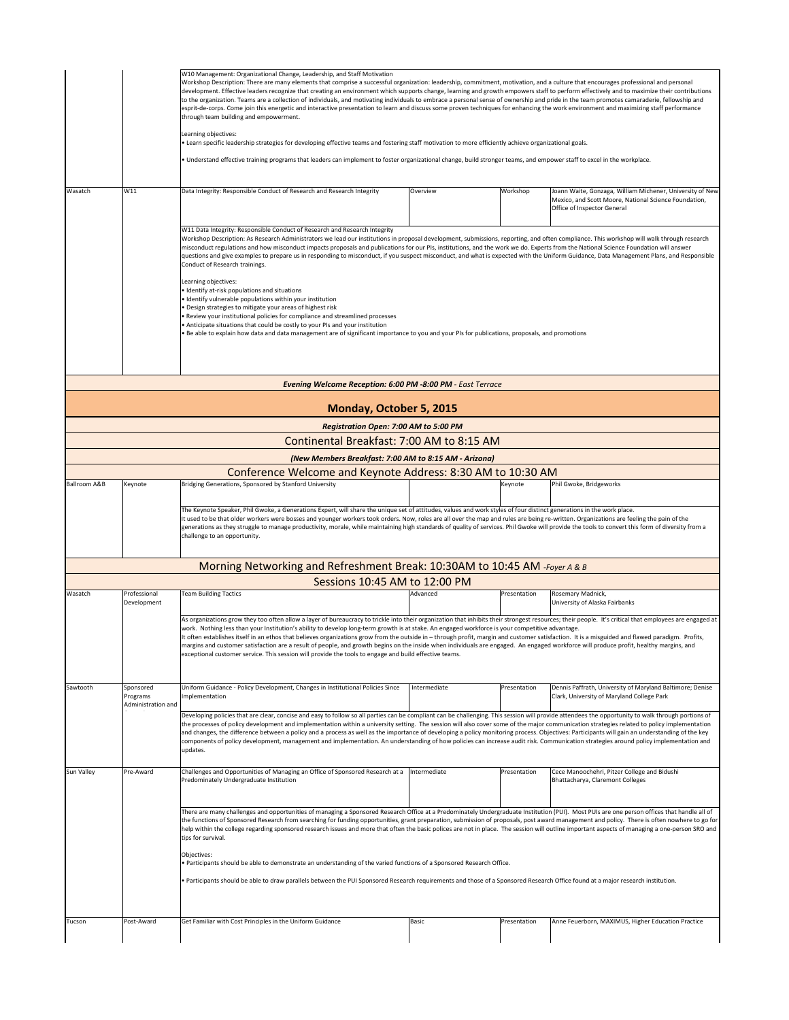|                                                                                                                                                                                                                                                                                                                                                                                                                                                                                                                                                                                                                                                                                                                                                                                                                                                                                                                                                 |                                                                                                                                                                                                                                                                                                                                                                                                                                                                                                                                                                                                                                                                                                                                                                                                         | W10 Management: Organizational Change, Leadership, and Staff Motivation<br>through team building and empowerment.<br>Learning objectives:<br>. Learn specific leadership strategies for developing effective teams and fostering staff motivation to more efficiently achieve organizational goals.                                                                                                                                                                                                                                                                                                                                                                                                                                                                                                                                                                                                                                                                                                                                                                                                                                                                                                                  | Workshop Description: There are many elements that comprise a successful organization: leadership, commitment, motivation, and a culture that encourages professional and personal<br>development. Effective leaders recognize that creating an environment which supports change, learning and growth empowers staff to perform effectively and to maximize their contributions<br>to the organization. Teams are a collection of individuals, and motivating individuals to embrace a personal sense of ownership and pride in the team promotes camaraderie, fellowship and<br>esprit-de-corps. Come join this energetic and interactive presentation to learn and discuss some proven techniques for enhancing the work environment and maximizing staff performance<br>. Understand effective training programs that leaders can implement to foster organizational change, build stronger teams, and empower staff to excel in the workplace. |              |                                                                                                                                                   |  |  |  |
|-------------------------------------------------------------------------------------------------------------------------------------------------------------------------------------------------------------------------------------------------------------------------------------------------------------------------------------------------------------------------------------------------------------------------------------------------------------------------------------------------------------------------------------------------------------------------------------------------------------------------------------------------------------------------------------------------------------------------------------------------------------------------------------------------------------------------------------------------------------------------------------------------------------------------------------------------|---------------------------------------------------------------------------------------------------------------------------------------------------------------------------------------------------------------------------------------------------------------------------------------------------------------------------------------------------------------------------------------------------------------------------------------------------------------------------------------------------------------------------------------------------------------------------------------------------------------------------------------------------------------------------------------------------------------------------------------------------------------------------------------------------------|----------------------------------------------------------------------------------------------------------------------------------------------------------------------------------------------------------------------------------------------------------------------------------------------------------------------------------------------------------------------------------------------------------------------------------------------------------------------------------------------------------------------------------------------------------------------------------------------------------------------------------------------------------------------------------------------------------------------------------------------------------------------------------------------------------------------------------------------------------------------------------------------------------------------------------------------------------------------------------------------------------------------------------------------------------------------------------------------------------------------------------------------------------------------------------------------------------------------|-----------------------------------------------------------------------------------------------------------------------------------------------------------------------------------------------------------------------------------------------------------------------------------------------------------------------------------------------------------------------------------------------------------------------------------------------------------------------------------------------------------------------------------------------------------------------------------------------------------------------------------------------------------------------------------------------------------------------------------------------------------------------------------------------------------------------------------------------------------------------------------------------------------------------------------------------------|--------------|---------------------------------------------------------------------------------------------------------------------------------------------------|--|--|--|
| Wasatch                                                                                                                                                                                                                                                                                                                                                                                                                                                                                                                                                                                                                                                                                                                                                                                                                                                                                                                                         | W11                                                                                                                                                                                                                                                                                                                                                                                                                                                                                                                                                                                                                                                                                                                                                                                                     | Data Integrity: Responsible Conduct of Research and Research Integrity                                                                                                                                                                                                                                                                                                                                                                                                                                                                                                                                                                                                                                                                                                                                                                                                                                                                                                                                                                                                                                                                                                                                               | Overview                                                                                                                                                                                                                                                                                                                                                                                                                                                                                                                                                                                                                                                                                                                                                                                                                                                                                                                                            | Workshop     | Joann Waite, Gonzaga, William Michener, University of New<br>Mexico, and Scott Moore, National Science Foundation,<br>Office of Inspector General |  |  |  |
|                                                                                                                                                                                                                                                                                                                                                                                                                                                                                                                                                                                                                                                                                                                                                                                                                                                                                                                                                 |                                                                                                                                                                                                                                                                                                                                                                                                                                                                                                                                                                                                                                                                                                                                                                                                         | W11 Data Integrity: Responsible Conduct of Research and Research Integrity<br>Workshop Description: As Research Administrators we lead our institutions in proposal development, submissions, reporting, and often compliance. This workshop will walk through research<br>misconduct regulations and how misconduct impacts proposals and publications for our PIs, institutions, and the work we do. Experts from the National Science Foundation will answer<br>questions and give examples to prepare us in responding to misconduct, if you suspect misconduct, and what is expected with the Uniform Guidance, Data Management Plans, and Responsible<br>Conduct of Research trainings.<br>Learning objectives:<br>· Identify at-risk populations and situations<br>· Identify vulnerable populations within your institution<br>· Design strategies to mitigate your areas of highest risk<br>Review your institutional policies for compliance and streamlined processes<br>• Anticipate situations that could be costly to your PIs and your institution<br>. Be able to explain how data and data management are of significant importance to you and your PIs for publications, proposals, and promotions |                                                                                                                                                                                                                                                                                                                                                                                                                                                                                                                                                                                                                                                                                                                                                                                                                                                                                                                                                     |              |                                                                                                                                                   |  |  |  |
|                                                                                                                                                                                                                                                                                                                                                                                                                                                                                                                                                                                                                                                                                                                                                                                                                                                                                                                                                 |                                                                                                                                                                                                                                                                                                                                                                                                                                                                                                                                                                                                                                                                                                                                                                                                         | <b>Evening Welcome Reception: 6:00 PM -8:00 PM - East Terrace</b>                                                                                                                                                                                                                                                                                                                                                                                                                                                                                                                                                                                                                                                                                                                                                                                                                                                                                                                                                                                                                                                                                                                                                    |                                                                                                                                                                                                                                                                                                                                                                                                                                                                                                                                                                                                                                                                                                                                                                                                                                                                                                                                                     |              |                                                                                                                                                   |  |  |  |
|                                                                                                                                                                                                                                                                                                                                                                                                                                                                                                                                                                                                                                                                                                                                                                                                                                                                                                                                                 |                                                                                                                                                                                                                                                                                                                                                                                                                                                                                                                                                                                                                                                                                                                                                                                                         | Monday, October 5, 2015                                                                                                                                                                                                                                                                                                                                                                                                                                                                                                                                                                                                                                                                                                                                                                                                                                                                                                                                                                                                                                                                                                                                                                                              |                                                                                                                                                                                                                                                                                                                                                                                                                                                                                                                                                                                                                                                                                                                                                                                                                                                                                                                                                     |              |                                                                                                                                                   |  |  |  |
|                                                                                                                                                                                                                                                                                                                                                                                                                                                                                                                                                                                                                                                                                                                                                                                                                                                                                                                                                 |                                                                                                                                                                                                                                                                                                                                                                                                                                                                                                                                                                                                                                                                                                                                                                                                         | Registration Open: 7:00 AM to 5:00 PM                                                                                                                                                                                                                                                                                                                                                                                                                                                                                                                                                                                                                                                                                                                                                                                                                                                                                                                                                                                                                                                                                                                                                                                |                                                                                                                                                                                                                                                                                                                                                                                                                                                                                                                                                                                                                                                                                                                                                                                                                                                                                                                                                     |              |                                                                                                                                                   |  |  |  |
|                                                                                                                                                                                                                                                                                                                                                                                                                                                                                                                                                                                                                                                                                                                                                                                                                                                                                                                                                 |                                                                                                                                                                                                                                                                                                                                                                                                                                                                                                                                                                                                                                                                                                                                                                                                         | Continental Breakfast: 7:00 AM to 8:15 AM                                                                                                                                                                                                                                                                                                                                                                                                                                                                                                                                                                                                                                                                                                                                                                                                                                                                                                                                                                                                                                                                                                                                                                            |                                                                                                                                                                                                                                                                                                                                                                                                                                                                                                                                                                                                                                                                                                                                                                                                                                                                                                                                                     |              |                                                                                                                                                   |  |  |  |
|                                                                                                                                                                                                                                                                                                                                                                                                                                                                                                                                                                                                                                                                                                                                                                                                                                                                                                                                                 |                                                                                                                                                                                                                                                                                                                                                                                                                                                                                                                                                                                                                                                                                                                                                                                                         | (New Members Breakfast: 7:00 AM to 8:15 AM - Arizona)                                                                                                                                                                                                                                                                                                                                                                                                                                                                                                                                                                                                                                                                                                                                                                                                                                                                                                                                                                                                                                                                                                                                                                |                                                                                                                                                                                                                                                                                                                                                                                                                                                                                                                                                                                                                                                                                                                                                                                                                                                                                                                                                     |              |                                                                                                                                                   |  |  |  |
| Ballroom A&B                                                                                                                                                                                                                                                                                                                                                                                                                                                                                                                                                                                                                                                                                                                                                                                                                                                                                                                                    | Keynote                                                                                                                                                                                                                                                                                                                                                                                                                                                                                                                                                                                                                                                                                                                                                                                                 | Conference Welcome and Keynote Address: 8:30 AM to 10:30 AM<br>Bridging Generations, Sponsored by Stanford University                                                                                                                                                                                                                                                                                                                                                                                                                                                                                                                                                                                                                                                                                                                                                                                                                                                                                                                                                                                                                                                                                                |                                                                                                                                                                                                                                                                                                                                                                                                                                                                                                                                                                                                                                                                                                                                                                                                                                                                                                                                                     | Keynote      | Phil Gwoke, Bridgeworks                                                                                                                           |  |  |  |
|                                                                                                                                                                                                                                                                                                                                                                                                                                                                                                                                                                                                                                                                                                                                                                                                                                                                                                                                                 | The Keynote Speaker, Phil Gwoke, a Generations Expert, will share the unique set of attitudes, values and work styles of four distinct generations in the work place.<br>It used to be that older workers were bosses and younger workers took orders. Now, roles are all over the map and rules are being re-written. Organizations are feeling the pain of the<br>generations as they struggle to manage productivity, morale, while maintaining high standards of quality of services. Phil Gwoke will provide the tools to convert this form of diversity from a<br>challenge to an opportunity.                                                                                                                                                                                                    |                                                                                                                                                                                                                                                                                                                                                                                                                                                                                                                                                                                                                                                                                                                                                                                                                                                                                                                                                                                                                                                                                                                                                                                                                      |                                                                                                                                                                                                                                                                                                                                                                                                                                                                                                                                                                                                                                                                                                                                                                                                                                                                                                                                                     |              |                                                                                                                                                   |  |  |  |
|                                                                                                                                                                                                                                                                                                                                                                                                                                                                                                                                                                                                                                                                                                                                                                                                                                                                                                                                                 |                                                                                                                                                                                                                                                                                                                                                                                                                                                                                                                                                                                                                                                                                                                                                                                                         | Morning Networking and Refreshment Break: 10:30AM to 10:45 AM -Foyer A & B                                                                                                                                                                                                                                                                                                                                                                                                                                                                                                                                                                                                                                                                                                                                                                                                                                                                                                                                                                                                                                                                                                                                           |                                                                                                                                                                                                                                                                                                                                                                                                                                                                                                                                                                                                                                                                                                                                                                                                                                                                                                                                                     |              |                                                                                                                                                   |  |  |  |
| Wasatch                                                                                                                                                                                                                                                                                                                                                                                                                                                                                                                                                                                                                                                                                                                                                                                                                                                                                                                                         | Professional                                                                                                                                                                                                                                                                                                                                                                                                                                                                                                                                                                                                                                                                                                                                                                                            | Sessions 10:45 AM to 12:00 PM<br><b>Team Building Tactics</b>                                                                                                                                                                                                                                                                                                                                                                                                                                                                                                                                                                                                                                                                                                                                                                                                                                                                                                                                                                                                                                                                                                                                                        | Advanced                                                                                                                                                                                                                                                                                                                                                                                                                                                                                                                                                                                                                                                                                                                                                                                                                                                                                                                                            | Presentation | Rosemary Madnick,                                                                                                                                 |  |  |  |
|                                                                                                                                                                                                                                                                                                                                                                                                                                                                                                                                                                                                                                                                                                                                                                                                                                                                                                                                                 | Development                                                                                                                                                                                                                                                                                                                                                                                                                                                                                                                                                                                                                                                                                                                                                                                             |                                                                                                                                                                                                                                                                                                                                                                                                                                                                                                                                                                                                                                                                                                                                                                                                                                                                                                                                                                                                                                                                                                                                                                                                                      |                                                                                                                                                                                                                                                                                                                                                                                                                                                                                                                                                                                                                                                                                                                                                                                                                                                                                                                                                     |              | University of Alaska Fairbanks                                                                                                                    |  |  |  |
|                                                                                                                                                                                                                                                                                                                                                                                                                                                                                                                                                                                                                                                                                                                                                                                                                                                                                                                                                 |                                                                                                                                                                                                                                                                                                                                                                                                                                                                                                                                                                                                                                                                                                                                                                                                         | As organizations grow they too often allow a layer of bureaucracy to trickle into their organization that inhibits their strongest resources; their people. It's critical that employees are engaged at<br>work. Nothing less than your Institution's ability to develop long-term growth is at stake. An engaged workforce is your competitive advantage.<br>It often establishes itself in an ethos that believes organizations grow from the outside in - through profit, margin and customer satisfaction. It is a misguided and flawed paradigm. Profits,<br>margins and customer satisfaction are a result of people, and growth begins on the inside when individuals are engaged. An engaged workforce will produce profit, healthy margins, and<br>exceptional customer service. This session will provide the tools to engage and build effective teams.                                                                                                                                                                                                                                                                                                                                                   |                                                                                                                                                                                                                                                                                                                                                                                                                                                                                                                                                                                                                                                                                                                                                                                                                                                                                                                                                     |              |                                                                                                                                                   |  |  |  |
| Sawtooth                                                                                                                                                                                                                                                                                                                                                                                                                                                                                                                                                                                                                                                                                                                                                                                                                                                                                                                                        | Sponsored<br>Programs<br>Administration and                                                                                                                                                                                                                                                                                                                                                                                                                                                                                                                                                                                                                                                                                                                                                             | Uniform Guidance - Policy Development, Changes in Institutional Policies Since<br>Implementation                                                                                                                                                                                                                                                                                                                                                                                                                                                                                                                                                                                                                                                                                                                                                                                                                                                                                                                                                                                                                                                                                                                     | Intermediate                                                                                                                                                                                                                                                                                                                                                                                                                                                                                                                                                                                                                                                                                                                                                                                                                                                                                                                                        | Presentation | Dennis Paffrath, University of Maryland Baltimore; Denise<br>Clark, University of Maryland College Park                                           |  |  |  |
|                                                                                                                                                                                                                                                                                                                                                                                                                                                                                                                                                                                                                                                                                                                                                                                                                                                                                                                                                 | Developing policies that are clear, concise and easy to follow so all parties can be compliant can be challenging. This session will provide attendees the opportunity to walk through portions of<br>the processes of policy development and implementation within a university setting. The session will also cover some of the major communication strategies related to policy implementation<br>and changes, the difference between a policy and a process as well as the importance of developing a policy monitoring process. Objectives: Participants will gain an understanding of the key<br>components of policy development, management and implementation. An understanding of how policies can increase audit risk. Communication strategies around policy implementation and<br>updates. |                                                                                                                                                                                                                                                                                                                                                                                                                                                                                                                                                                                                                                                                                                                                                                                                                                                                                                                                                                                                                                                                                                                                                                                                                      |                                                                                                                                                                                                                                                                                                                                                                                                                                                                                                                                                                                                                                                                                                                                                                                                                                                                                                                                                     |              |                                                                                                                                                   |  |  |  |
| Sun Valley                                                                                                                                                                                                                                                                                                                                                                                                                                                                                                                                                                                                                                                                                                                                                                                                                                                                                                                                      | Pre-Award                                                                                                                                                                                                                                                                                                                                                                                                                                                                                                                                                                                                                                                                                                                                                                                               | Challenges and Opportunities of Managing an Office of Sponsored Research at a<br>Predominately Undergraduate Institution                                                                                                                                                                                                                                                                                                                                                                                                                                                                                                                                                                                                                                                                                                                                                                                                                                                                                                                                                                                                                                                                                             | Intermediate                                                                                                                                                                                                                                                                                                                                                                                                                                                                                                                                                                                                                                                                                                                                                                                                                                                                                                                                        | Presentation | Cece Manoochehri, Pitzer College and Bidushi<br>Bhattacharya, Claremont Colleges                                                                  |  |  |  |
| There are many challenges and opportunities of managing a Sponsored Research Office at a Predominately Undergraduate Institution (PUI). Most PUIs are one person offices that handle all of<br>the functions of Sponsored Research from searching for funding opportunities, grant preparation, submission of proposals, post award management and policy. There is often nowhere to go for<br>help within the college regarding sponsored research issues and more that often the basic polices are not in place. The session will outline important aspects of managing a one-person SRO and<br>tips for survival.<br>Objectives:<br>. Participants should be able to demonstrate an understanding of the varied functions of a Sponsored Research Office.<br>. Participants should be able to draw parallels between the PUI Sponsored Research requirements and those of a Sponsored Research Office found at a major research institution. |                                                                                                                                                                                                                                                                                                                                                                                                                                                                                                                                                                                                                                                                                                                                                                                                         |                                                                                                                                                                                                                                                                                                                                                                                                                                                                                                                                                                                                                                                                                                                                                                                                                                                                                                                                                                                                                                                                                                                                                                                                                      |                                                                                                                                                                                                                                                                                                                                                                                                                                                                                                                                                                                                                                                                                                                                                                                                                                                                                                                                                     |              |                                                                                                                                                   |  |  |  |
| Tucson                                                                                                                                                                                                                                                                                                                                                                                                                                                                                                                                                                                                                                                                                                                                                                                                                                                                                                                                          | Post-Award                                                                                                                                                                                                                                                                                                                                                                                                                                                                                                                                                                                                                                                                                                                                                                                              | Get Familiar with Cost Principles in the Uniform Guidance                                                                                                                                                                                                                                                                                                                                                                                                                                                                                                                                                                                                                                                                                                                                                                                                                                                                                                                                                                                                                                                                                                                                                            | Basic                                                                                                                                                                                                                                                                                                                                                                                                                                                                                                                                                                                                                                                                                                                                                                                                                                                                                                                                               | Presentation | Anne Feuerborn, MAXIMUS, Higher Education Practice                                                                                                |  |  |  |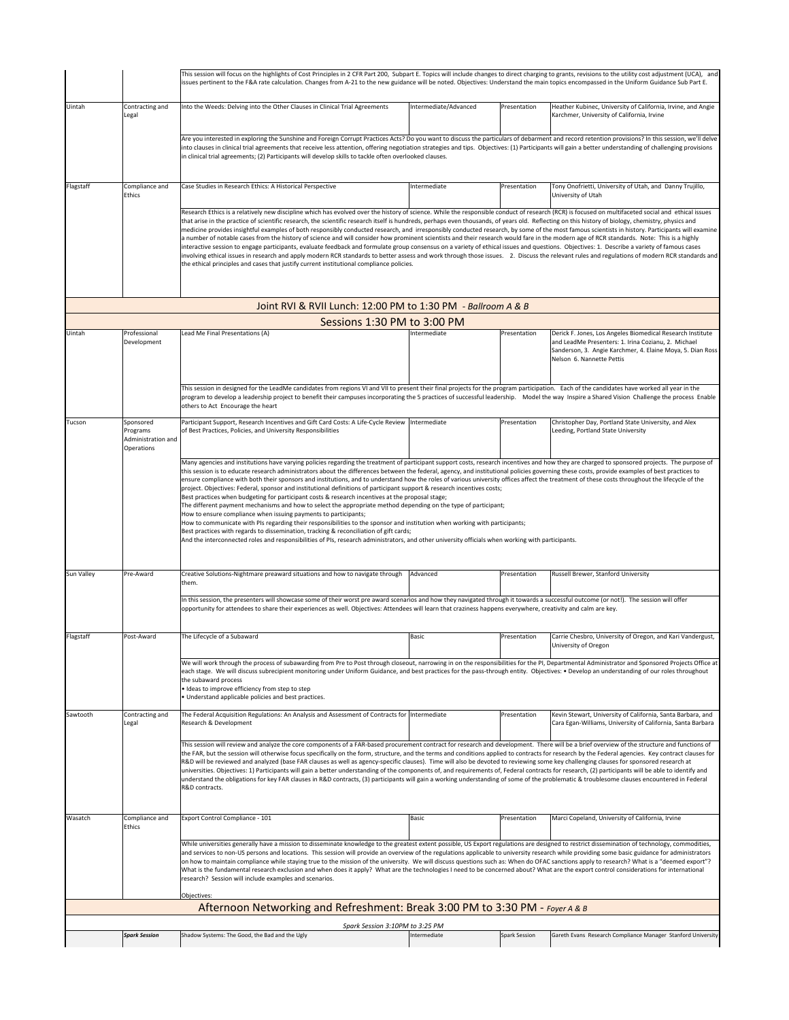|            |                                                           | This session will focus on the highlights of Cost Principles in 2 CFR Part 200, Subpart E. Topics will include changes to direct charging to grants, revisions to the utility cost adjustment (UCA), and<br>issues pertinent to the F&A rate calculation. Changes from A-21 to the new guidance will be noted. Objectives: Understand the main topics encompassed in the Uniform Guidance Sub Part E.                                                                                                                                                                                                                                                                                                                                                                                                                                                                                                                                                                                                                                                                                                                                                                                                                                                                                                |                       |               |                                                                                                                                                |  |  |
|------------|-----------------------------------------------------------|------------------------------------------------------------------------------------------------------------------------------------------------------------------------------------------------------------------------------------------------------------------------------------------------------------------------------------------------------------------------------------------------------------------------------------------------------------------------------------------------------------------------------------------------------------------------------------------------------------------------------------------------------------------------------------------------------------------------------------------------------------------------------------------------------------------------------------------------------------------------------------------------------------------------------------------------------------------------------------------------------------------------------------------------------------------------------------------------------------------------------------------------------------------------------------------------------------------------------------------------------------------------------------------------------|-----------------------|---------------|------------------------------------------------------------------------------------------------------------------------------------------------|--|--|
| Uintah     | Contracting and<br>Legal                                  | Into the Weeds: Delving into the Other Clauses in Clinical Trial Agreements                                                                                                                                                                                                                                                                                                                                                                                                                                                                                                                                                                                                                                                                                                                                                                                                                                                                                                                                                                                                                                                                                                                                                                                                                          | Intermediate/Advanced | Presentation  | Heather Kubinec, University of California, Irvine, and Angie<br>Karchmer, University of California, Irvine                                     |  |  |
|            |                                                           | Are you interested in exploring the Sunshine and Foreign Corrupt Practices Acts? Do you want to discuss the particulars of debarment and record retention provisions? In this session, we'll delve<br>into clauses in clinical trial agreements that receive less attention, offering negotiation strategies and tips. Objectives: (1) Participants will gain a better understanding of challenging provisions<br>in clinical trial agreements; (2) Participants will develop skills to tackle often overlooked clauses.                                                                                                                                                                                                                                                                                                                                                                                                                                                                                                                                                                                                                                                                                                                                                                             |                       |               |                                                                                                                                                |  |  |
| Flagstaff  | Compliance and<br>Ethics                                  | Case Studies in Research Ethics: A Historical Perspective                                                                                                                                                                                                                                                                                                                                                                                                                                                                                                                                                                                                                                                                                                                                                                                                                                                                                                                                                                                                                                                                                                                                                                                                                                            | Intermediate          | Presentation  | Tony Onofrietti, University of Utah, and Danny Trujillo,<br>University of Utah                                                                 |  |  |
|            |                                                           | Research Ethics is a relatively new discipline which has evolved over the history of science. While the responsible conduct of research (RCR) is focused on multifaceted social and ethical issues<br>that arise in the practice of scientific research, the scientific research itself is hundreds, perhaps even thousands, of years old. Reflecting on this history of biology, chemistry, physics and<br>medicine provides insightful examples of both responsibly conducted research, and irresponsibly conducted research, by some of the most famous scientists in history. Participants will examine<br>a number of notable cases from the history of science and will consider how prominent scientists and their research would fare in the modern age of RCR standards. Note: This is a highly<br>interactive session to engage participants, evaluate feedback and formulate group consensus on a variety of ethical issues and questions. Objectives: 1. Describe a variety of famous cases<br>involving ethical issues in research and apply modern RCR standards to better assess and work through those issues. 2. Discuss the relevant rules and regulations of modern RCR standards and<br>the ethical principles and cases that justify current institutional compliance policies. |                       |               |                                                                                                                                                |  |  |
|            |                                                           | Joint RVI & RVII Lunch: 12:00 PM to 1:30 PM - Ballroom A & B                                                                                                                                                                                                                                                                                                                                                                                                                                                                                                                                                                                                                                                                                                                                                                                                                                                                                                                                                                                                                                                                                                                                                                                                                                         |                       |               |                                                                                                                                                |  |  |
| Uintah     | Professional                                              | Sessions 1:30 PM to 3:00 PM<br>Lead Me Final Presentations (A)                                                                                                                                                                                                                                                                                                                                                                                                                                                                                                                                                                                                                                                                                                                                                                                                                                                                                                                                                                                                                                                                                                                                                                                                                                       | Intermediate          | Presentation  | Derick F. Jones, Los Angeles Biomedical Research Institute                                                                                     |  |  |
|            | Development                                               |                                                                                                                                                                                                                                                                                                                                                                                                                                                                                                                                                                                                                                                                                                                                                                                                                                                                                                                                                                                                                                                                                                                                                                                                                                                                                                      |                       |               | and LeadMe Presenters: 1. Irina Cozianu, 2. Michael<br>Sanderson, 3. Angie Karchmer, 4. Elaine Moya, 5. Dian Ross<br>Nelson 6. Nannette Pettis |  |  |
|            |                                                           | This session in designed for the LeadMe candidates from regions VI and VII to present their final projects for the program participation. Each of the candidates have worked all year in the<br>program to develop a leadership project to benefit their campuses incorporating the 5 practices of successful leadership. Model the way Inspire a Shared Vision Challenge the process Enable<br>others to Act Encourage the heart                                                                                                                                                                                                                                                                                                                                                                                                                                                                                                                                                                                                                                                                                                                                                                                                                                                                    |                       |               |                                                                                                                                                |  |  |
| Tucson     | Sponsored<br>Programs<br>Administration and<br>Operations | Participant Support, Research Incentives and Gift Card Costs: A Life-Cycle Review  Intermediate<br>of Best Practices, Policies, and University Responsibilities                                                                                                                                                                                                                                                                                                                                                                                                                                                                                                                                                                                                                                                                                                                                                                                                                                                                                                                                                                                                                                                                                                                                      |                       | Presentation  | Christopher Day, Portland State University, and Alex<br>Leeding, Portland State University                                                     |  |  |
|            |                                                           | project. Objectives: Federal, sponsor and institutional definitions of participant support & research incentives costs;<br>Best practices when budgeting for participant costs & research incentives at the proposal stage;<br>The different payment mechanisms and how to select the appropriate method depending on the type of participant;<br>How to ensure compliance when issuing payments to participants;<br>How to communicate with PIs regarding their responsibilities to the sponsor and institution when working with participants;<br>Best practices with regards to dissemination, tracking & reconciliation of gift cards;<br>And the interconnected roles and responsibilities of PIs, research administrators, and other university officials when working with participants.                                                                                                                                                                                                                                                                                                                                                                                                                                                                                                      |                       |               |                                                                                                                                                |  |  |
| Sun Valley | Pre-Award                                                 | Creative Solutions-Nightmare preaward situations and how to navigate through<br>them.                                                                                                                                                                                                                                                                                                                                                                                                                                                                                                                                                                                                                                                                                                                                                                                                                                                                                                                                                                                                                                                                                                                                                                                                                | Advanced              | Presentation  | Russell Brewer, Stanford University                                                                                                            |  |  |
|            |                                                           | In this session, the presenters will showcase some of their worst pre award scenarios and how they navigated through it towards a successful outcome (or not!). The session will offer<br>opportunity for attendees to share their experiences as well. Objectives: Attendees will learn that craziness happens everywhere, creativity and calm are key.                                                                                                                                                                                                                                                                                                                                                                                                                                                                                                                                                                                                                                                                                                                                                                                                                                                                                                                                             |                       |               |                                                                                                                                                |  |  |
| Flagstaff  | Post-Award                                                | The Lifecycle of a Subaward                                                                                                                                                                                                                                                                                                                                                                                                                                                                                                                                                                                                                                                                                                                                                                                                                                                                                                                                                                                                                                                                                                                                                                                                                                                                          | Basic                 | Presentation  | Carrie Chesbro, University of Oregon, and Kari Vandergust,<br>University of Oregon                                                             |  |  |
|            |                                                           | We will work through the process of subawarding from Pre to Post through closeout, narrowing in on the responsibilities for the PI, Departmental Administrator and Sponsored Projects Office at<br>each stage. We will discuss subrecipient monitoring under Uniform Guidance, and best practices for the pass-through entity. Objectives: . Develop an understanding of our roles throughout<br>the subaward process<br>· Ideas to improve efficiency from step to step<br>. Understand applicable policies and best practices.                                                                                                                                                                                                                                                                                                                                                                                                                                                                                                                                                                                                                                                                                                                                                                     |                       |               |                                                                                                                                                |  |  |
| Sawtooth   | Contracting and<br>Legal                                  | The Federal Acquisition Regulations: An Analysis and Assessment of Contracts for  Intermediate<br>Research & Development                                                                                                                                                                                                                                                                                                                                                                                                                                                                                                                                                                                                                                                                                                                                                                                                                                                                                                                                                                                                                                                                                                                                                                             |                       | Presentation  | Kevin Stewart, University of California, Santa Barbara, and<br>Cara Egan-Williams, University of California, Santa Barbara                     |  |  |
|            |                                                           | This session will review and analyze the core components of a FAR-based procurement contract for research and development. There will be a brief overview of the structure and functions of<br>the FAR, but the session will otherwise focus specifically on the form, structure, and the terms and conditions applied to contracts for research by the Federal agencies. Key contract clauses for<br>R&D will be reviewed and analyzed (base FAR clauses as well as agency-specific clauses). Time will also be devoted to reviewing some key challenging clauses for sponsored research at<br>universities. Objectives: 1) Participants will gain a better understanding of the components of, and requirements of, Federal contracts for research, (2) participants will be able to identify and<br>understand the obligations for key FAR clauses in R&D contracts, (3) participants will gain a working understanding of some of the problematic & troublesome clauses encountered in Federal<br>R&D contracts.                                                                                                                                                                                                                                                                                 |                       |               |                                                                                                                                                |  |  |
| Wasatch    | Compliance and<br>Ethics                                  | Export Control Compliance - 101                                                                                                                                                                                                                                                                                                                                                                                                                                                                                                                                                                                                                                                                                                                                                                                                                                                                                                                                                                                                                                                                                                                                                                                                                                                                      | Basic                 | Presentation  | Marci Copeland, University of California, Irvine                                                                                               |  |  |
|            |                                                           | While universities generally have a mission to disseminate knowledge to the greatest extent possible, US Export regulations are designed to restrict dissemination of technology, commodities,<br>and services to non-US persons and locations. This session will provide an overview of the regulations applicable to university research while providing some basic guidance for administrators<br>on how to maintain compliance while staying true to the mission of the university. We will discuss questions such as: When do OFAC sanctions apply to research? What is a "deemed export"?<br>What is the fundamental research exclusion and when does it apply? What are the technologies I need to be concerned about? What are the export control considerations for international<br>research? Session will include examples and scenarios.<br>Objectives                                                                                                                                                                                                                                                                                                                                                                                                                                   |                       |               |                                                                                                                                                |  |  |
|            |                                                           | Afternoon Networking and Refreshment: Break 3:00 PM to 3:30 PM - Foyer A & B                                                                                                                                                                                                                                                                                                                                                                                                                                                                                                                                                                                                                                                                                                                                                                                                                                                                                                                                                                                                                                                                                                                                                                                                                         |                       |               |                                                                                                                                                |  |  |
|            |                                                           | Spark Session 3:10PM to 3:25 PM                                                                                                                                                                                                                                                                                                                                                                                                                                                                                                                                                                                                                                                                                                                                                                                                                                                                                                                                                                                                                                                                                                                                                                                                                                                                      |                       |               |                                                                                                                                                |  |  |
|            | <b>Spark Session</b>                                      | Shadow Systems: The Good, the Bad and the Ugly                                                                                                                                                                                                                                                                                                                                                                                                                                                                                                                                                                                                                                                                                                                                                                                                                                                                                                                                                                                                                                                                                                                                                                                                                                                       | Intermediate          | Spark Session | Gareth Evans Research Compliance Manager Stanford University                                                                                   |  |  |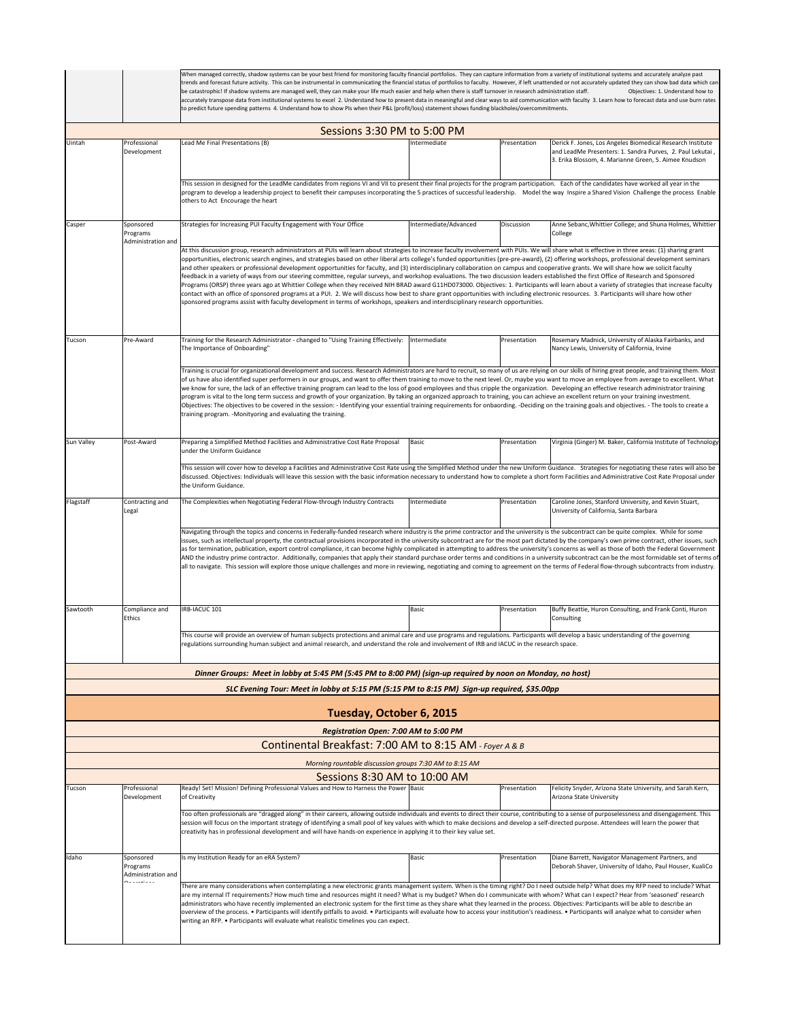|            |                                                                                                                                                                                                                                                                                                                                                                                                                                                                                                                                                                                                                                                                                                                                                                                                                                                                                                                                                                                                                                                                          | When managed correctly, shadow systems can be your best friend for monitoring faculty financial portfolios. They can capture information from a variety of institutional systems and accurately analyze past<br>trends and forecast future activity. This can be instrumental in communicating the financial status of portfolios to faculty. However, if left unattended or not accurately updated they can show bad data which can<br>be catastrophic! If shadow systems are managed well, they can make your life much easier and help when there is staff turnover in research administration staff.<br>Objectives: 1. Understand how to<br>accurately transpose data from institutional systems to excel 2. Understand how to present data in meaningful and clear ways to aid communication with faculty 3. Learn how to forecast data and use burn rates<br>to predict future spending patterns 4. Understand how to show PIs when their P&L (profit/loss) statement shows funding blackholes/overcommitments.                                                                                                                                                                                                                                                                                                         |                       |              |                                                                                                                                                                                  |  |  |  |
|------------|--------------------------------------------------------------------------------------------------------------------------------------------------------------------------------------------------------------------------------------------------------------------------------------------------------------------------------------------------------------------------------------------------------------------------------------------------------------------------------------------------------------------------------------------------------------------------------------------------------------------------------------------------------------------------------------------------------------------------------------------------------------------------------------------------------------------------------------------------------------------------------------------------------------------------------------------------------------------------------------------------------------------------------------------------------------------------|-------------------------------------------------------------------------------------------------------------------------------------------------------------------------------------------------------------------------------------------------------------------------------------------------------------------------------------------------------------------------------------------------------------------------------------------------------------------------------------------------------------------------------------------------------------------------------------------------------------------------------------------------------------------------------------------------------------------------------------------------------------------------------------------------------------------------------------------------------------------------------------------------------------------------------------------------------------------------------------------------------------------------------------------------------------------------------------------------------------------------------------------------------------------------------------------------------------------------------------------------------------------------------------------------------------------------------|-----------------------|--------------|----------------------------------------------------------------------------------------------------------------------------------------------------------------------------------|--|--|--|
|            |                                                                                                                                                                                                                                                                                                                                                                                                                                                                                                                                                                                                                                                                                                                                                                                                                                                                                                                                                                                                                                                                          |                                                                                                                                                                                                                                                                                                                                                                                                                                                                                                                                                                                                                                                                                                                                                                                                                                                                                                                                                                                                                                                                                                                                                                                                                                                                                                                               |                       |              |                                                                                                                                                                                  |  |  |  |
| Uintah     | Professional<br>Development                                                                                                                                                                                                                                                                                                                                                                                                                                                                                                                                                                                                                                                                                                                                                                                                                                                                                                                                                                                                                                              | Sessions 3:30 PM to 5:00 PM<br>Lead Me Final Presentations (B)                                                                                                                                                                                                                                                                                                                                                                                                                                                                                                                                                                                                                                                                                                                                                                                                                                                                                                                                                                                                                                                                                                                                                                                                                                                                | Intermediate          | Presentation | Derick F. Jones, Los Angeles Biomedical Research Institute<br>and LeadMe Presenters: 1. Sandra Purves, 2. Paul Lekutai,<br>3. Erika Blossom, 4. Marianne Green, 5. Aimee Knudson |  |  |  |
|            |                                                                                                                                                                                                                                                                                                                                                                                                                                                                                                                                                                                                                                                                                                                                                                                                                                                                                                                                                                                                                                                                          | This session in designed for the LeadMe candidates from regions VI and VII to present their final projects for the program participation. Each of the candidates have worked all year in the<br>program to develop a leadership project to benefit their campuses incorporating the 5 practices of successful leadership. Model the way Inspire a Shared Vision Challenge the process Enable<br>others to Act Encourage the heart                                                                                                                                                                                                                                                                                                                                                                                                                                                                                                                                                                                                                                                                                                                                                                                                                                                                                             |                       |              |                                                                                                                                                                                  |  |  |  |
| Casper     | Sponsored<br>Programs<br>Administration and                                                                                                                                                                                                                                                                                                                                                                                                                                                                                                                                                                                                                                                                                                                                                                                                                                                                                                                                                                                                                              | Strategies for Increasing PUI Faculty Engagement with Your Office                                                                                                                                                                                                                                                                                                                                                                                                                                                                                                                                                                                                                                                                                                                                                                                                                                                                                                                                                                                                                                                                                                                                                                                                                                                             | Intermediate/Advanced | Discussion   | Anne Sebanc, Whittier College; and Shuna Holmes, Whittier<br>College                                                                                                             |  |  |  |
|            |                                                                                                                                                                                                                                                                                                                                                                                                                                                                                                                                                                                                                                                                                                                                                                                                                                                                                                                                                                                                                                                                          | At this discussion group, research administrators at PUIs will learn about strategies to increase faculty involvement with PUIs. We will share what is effective in three areas: (1) sharing grant<br>opportunities, electronic search engines, and strategies based on other liberal arts college's funded opportunities (pre-pre-award), (2) offering workshops, professional development seminars<br>and other speakers or professional development opportunities for faculty, and (3) interdisciplinary collaboration on campus and cooperative grants. We will share how we solicit faculty<br>feedback in a variety of ways from our steering committee, regular surveys, and workshop evaluations. The two discussion leaders established the first Office of Research and Sponsored<br>Programs (ORSP) three years ago at Whittier College when they received NIH BRAD award G11HD073000. Objectives: 1. Participants will learn about a variety of strategies that increase faculty<br>contact with an office of sponsored programs at a PUI. 2. We will discuss how best to share grant opportunities with including electronic resources. 3. Participants will share how other<br>sponsored programs assist with faculty development in terms of workshops, speakers and interdisciplinary research opportunities. |                       |              |                                                                                                                                                                                  |  |  |  |
| Tucson     | Pre-Award                                                                                                                                                                                                                                                                                                                                                                                                                                                                                                                                                                                                                                                                                                                                                                                                                                                                                                                                                                                                                                                                | Training for the Research Administrator - changed to "Using Training Effectively:<br>The Importance of Onboarding"                                                                                                                                                                                                                                                                                                                                                                                                                                                                                                                                                                                                                                                                                                                                                                                                                                                                                                                                                                                                                                                                                                                                                                                                            | Intermediate          | Presentation | Rosemary Madnick, University of Alaska Fairbanks, and<br>Nancy Lewis, University of California, Irvine                                                                           |  |  |  |
|            | Training is crucial for organizational development and success. Research Administrators are hard to recruit, so many of us are relying on our skills of hiring great people, and training them. Most<br>of us have also identified super performers in our groups, and want to offer them training to move to the next level. Or, maybe you want to move an employee from average to excellent. What<br>we know for sure, the lack of an effective training program can lead to the loss of good employees and thus cripple the organization. Developing an effective research administrator training<br>program is vital to the long term success and growth of your organization. By taking an organized approach to training, you can achieve an excellent return on your training investment.<br>Objectives: The objectives to be covered in the session: - Identifying your essential training requirements for onbaording. -Deciding on the training goals and objectives. - The tools to create a<br>training program. - Monityoring and evaluating the training. |                                                                                                                                                                                                                                                                                                                                                                                                                                                                                                                                                                                                                                                                                                                                                                                                                                                                                                                                                                                                                                                                                                                                                                                                                                                                                                                               |                       |              |                                                                                                                                                                                  |  |  |  |
| Sun Valley | Post-Award                                                                                                                                                                                                                                                                                                                                                                                                                                                                                                                                                                                                                                                                                                                                                                                                                                                                                                                                                                                                                                                               | Preparing a Simplified Method Facilities and Administrative Cost Rate Proposal<br>under the Uniform Guidance                                                                                                                                                                                                                                                                                                                                                                                                                                                                                                                                                                                                                                                                                                                                                                                                                                                                                                                                                                                                                                                                                                                                                                                                                  | Basic                 | Presentation | Virginia (Ginger) M. Baker, California Institute of Technology                                                                                                                   |  |  |  |
|            |                                                                                                                                                                                                                                                                                                                                                                                                                                                                                                                                                                                                                                                                                                                                                                                                                                                                                                                                                                                                                                                                          | This session will cover how to develop a Facilities and Administrative Cost Rate using the Simplified Method under the new Uniform Guidance. Strategies for negotiating these rates will also be<br>discussed. Objectives: Individuals will leave this session with the basic information necessary to understand how to complete a short form Facilities and Administrative Cost Rate Proposal under<br>the Uniform Guidance.                                                                                                                                                                                                                                                                                                                                                                                                                                                                                                                                                                                                                                                                                                                                                                                                                                                                                                |                       |              |                                                                                                                                                                                  |  |  |  |
| Flagstaff  | Contracting and<br>Legal                                                                                                                                                                                                                                                                                                                                                                                                                                                                                                                                                                                                                                                                                                                                                                                                                                                                                                                                                                                                                                                 | The Complexities when Negotiating Federal Flow-through Industry Contracts                                                                                                                                                                                                                                                                                                                                                                                                                                                                                                                                                                                                                                                                                                                                                                                                                                                                                                                                                                                                                                                                                                                                                                                                                                                     | Intermediate          | Presentation | Caroline Jones, Stanford University, and Kevin Stuart,<br>University of California, Santa Barbara                                                                                |  |  |  |
|            | Navigating through the topics and concerns in Federally-funded research where industry is the prime contractor and the university is the subcontract can be quite complex. While for some<br>issues, such as intellectual property, the contractual provisions incorporated in the university subcontract are for the most part dictated by the company's own prime contract, other issues, such<br>as for termination, publication, export control compliance, it can become highly complicated in attempting to address the university's concerns as well as those of both the Federal Government<br>AND the industry prime contractor. Additionally, companies that apply their standard purchase order terms and conditions in a university subcontract can be the most formidable set of terms of<br>all to navigate. This session will explore those unique challenges and more in reviewing, negotiating and coming to agreement on the terms of Federal flow-through subcontracts from industry.                                                                 |                                                                                                                                                                                                                                                                                                                                                                                                                                                                                                                                                                                                                                                                                                                                                                                                                                                                                                                                                                                                                                                                                                                                                                                                                                                                                                                               |                       |              |                                                                                                                                                                                  |  |  |  |
| Sawtooth   | Compliance and<br>Ethics                                                                                                                                                                                                                                                                                                                                                                                                                                                                                                                                                                                                                                                                                                                                                                                                                                                                                                                                                                                                                                                 | IRB-IACUC 101                                                                                                                                                                                                                                                                                                                                                                                                                                                                                                                                                                                                                                                                                                                                                                                                                                                                                                                                                                                                                                                                                                                                                                                                                                                                                                                 | Basic                 | Presentation | Buffy Beattie, Huron Consulting, and Frank Conti, Huron<br>Consulting                                                                                                            |  |  |  |
|            |                                                                                                                                                                                                                                                                                                                                                                                                                                                                                                                                                                                                                                                                                                                                                                                                                                                                                                                                                                                                                                                                          | This course will provide an overview of human subjects protections and animal care and use programs and regulations. Participants will develop a basic understanding of the governing<br>egulations surrounding buman subject and animal research, and understand the role and involvement of IRB and IACUC in the research space                                                                                                                                                                                                                                                                                                                                                                                                                                                                                                                                                                                                                                                                                                                                                                                                                                                                                                                                                                                             |                       |              |                                                                                                                                                                                  |  |  |  |
|            |                                                                                                                                                                                                                                                                                                                                                                                                                                                                                                                                                                                                                                                                                                                                                                                                                                                                                                                                                                                                                                                                          | Dinner Groups: Meet in lobby at 5:45 PM (5:45 PM to 8:00 PM) (sign-up required by noon on Monday, no host)                                                                                                                                                                                                                                                                                                                                                                                                                                                                                                                                                                                                                                                                                                                                                                                                                                                                                                                                                                                                                                                                                                                                                                                                                    |                       |              |                                                                                                                                                                                  |  |  |  |
|            |                                                                                                                                                                                                                                                                                                                                                                                                                                                                                                                                                                                                                                                                                                                                                                                                                                                                                                                                                                                                                                                                          | SLC Evening Tour: Meet in lobby at 5:15 PM (5:15 PM to 8:15 PM) Sign-up required, \$35.00pp                                                                                                                                                                                                                                                                                                                                                                                                                                                                                                                                                                                                                                                                                                                                                                                                                                                                                                                                                                                                                                                                                                                                                                                                                                   |                       |              |                                                                                                                                                                                  |  |  |  |
|            |                                                                                                                                                                                                                                                                                                                                                                                                                                                                                                                                                                                                                                                                                                                                                                                                                                                                                                                                                                                                                                                                          | Tuesday, October 6, 2015                                                                                                                                                                                                                                                                                                                                                                                                                                                                                                                                                                                                                                                                                                                                                                                                                                                                                                                                                                                                                                                                                                                                                                                                                                                                                                      |                       |              |                                                                                                                                                                                  |  |  |  |
|            |                                                                                                                                                                                                                                                                                                                                                                                                                                                                                                                                                                                                                                                                                                                                                                                                                                                                                                                                                                                                                                                                          | Registration Open: 7:00 AM to 5:00 PM                                                                                                                                                                                                                                                                                                                                                                                                                                                                                                                                                                                                                                                                                                                                                                                                                                                                                                                                                                                                                                                                                                                                                                                                                                                                                         |                       |              |                                                                                                                                                                                  |  |  |  |
|            |                                                                                                                                                                                                                                                                                                                                                                                                                                                                                                                                                                                                                                                                                                                                                                                                                                                                                                                                                                                                                                                                          | Continental Breakfast: 7:00 AM to 8:15 AM - Foyer A & B                                                                                                                                                                                                                                                                                                                                                                                                                                                                                                                                                                                                                                                                                                                                                                                                                                                                                                                                                                                                                                                                                                                                                                                                                                                                       |                       |              |                                                                                                                                                                                  |  |  |  |
|            |                                                                                                                                                                                                                                                                                                                                                                                                                                                                                                                                                                                                                                                                                                                                                                                                                                                                                                                                                                                                                                                                          | Morning rountable discussion groups 7:30 AM to 8:15 AM                                                                                                                                                                                                                                                                                                                                                                                                                                                                                                                                                                                                                                                                                                                                                                                                                                                                                                                                                                                                                                                                                                                                                                                                                                                                        |                       |              |                                                                                                                                                                                  |  |  |  |
| Tucson     | Professional                                                                                                                                                                                                                                                                                                                                                                                                                                                                                                                                                                                                                                                                                                                                                                                                                                                                                                                                                                                                                                                             | Sessions 8:30 AM to 10:00 AM<br>Ready! Set! Mission! Defining Professional Values and How to Harness the Power Basic                                                                                                                                                                                                                                                                                                                                                                                                                                                                                                                                                                                                                                                                                                                                                                                                                                                                                                                                                                                                                                                                                                                                                                                                          |                       | Presentation | Felicity Snyder, Arizona State University, and Sarah Kern,                                                                                                                       |  |  |  |
|            | Development                                                                                                                                                                                                                                                                                                                                                                                                                                                                                                                                                                                                                                                                                                                                                                                                                                                                                                                                                                                                                                                              | of Creativity                                                                                                                                                                                                                                                                                                                                                                                                                                                                                                                                                                                                                                                                                                                                                                                                                                                                                                                                                                                                                                                                                                                                                                                                                                                                                                                 |                       |              | Arizona State University                                                                                                                                                         |  |  |  |
|            |                                                                                                                                                                                                                                                                                                                                                                                                                                                                                                                                                                                                                                                                                                                                                                                                                                                                                                                                                                                                                                                                          | Too often professionals are "dragged along" in their careers, allowing outside individuals and events to direct their course, contributing to a sense of purposelessness and disengagement. This<br>session will focus on the important strategy of identifying a small pool of key values with which to make decisions and develop a self-directed purpose. Attendees will learn the power that<br>creativity has in professional development and will have hands-on experience in applying it to their key value set.                                                                                                                                                                                                                                                                                                                                                                                                                                                                                                                                                                                                                                                                                                                                                                                                       |                       |              |                                                                                                                                                                                  |  |  |  |
| Idaho      | Sponsored<br>Programs<br>Administration and                                                                                                                                                                                                                                                                                                                                                                                                                                                                                                                                                                                                                                                                                                                                                                                                                                                                                                                                                                                                                              | Is my Institution Ready for an eRA System?                                                                                                                                                                                                                                                                                                                                                                                                                                                                                                                                                                                                                                                                                                                                                                                                                                                                                                                                                                                                                                                                                                                                                                                                                                                                                    | Basic                 | Presentation | Diane Barrett, Navigator Management Partners, and<br>Deborah Shaver, University of Idaho, Paul Houser, KualiCo                                                                   |  |  |  |
|            |                                                                                                                                                                                                                                                                                                                                                                                                                                                                                                                                                                                                                                                                                                                                                                                                                                                                                                                                                                                                                                                                          | There are many considerations when contemplating a new electronic grants management system. When is the timing right? Do I need outside help? What does my RFP need to include? What<br>are my internal IT requirements? How much time and resources might it need? What is my budget? When do I communicate with whom? What can I expect? Hear from 'seasoned' research<br>administrators who have recently implemented an electronic system for the first time as they share what they learned in the process. Objectives: Participants will be able to describe an<br>overview of the process. • Participants will identify pitfalls to avoid. • Participants will evaluate how to access your institution's readiness. • Participants will analyze what to consider when<br>writing an RFP. • Participants will evaluate what realistic timelines you can expect.                                                                                                                                                                                                                                                                                                                                                                                                                                                         |                       |              |                                                                                                                                                                                  |  |  |  |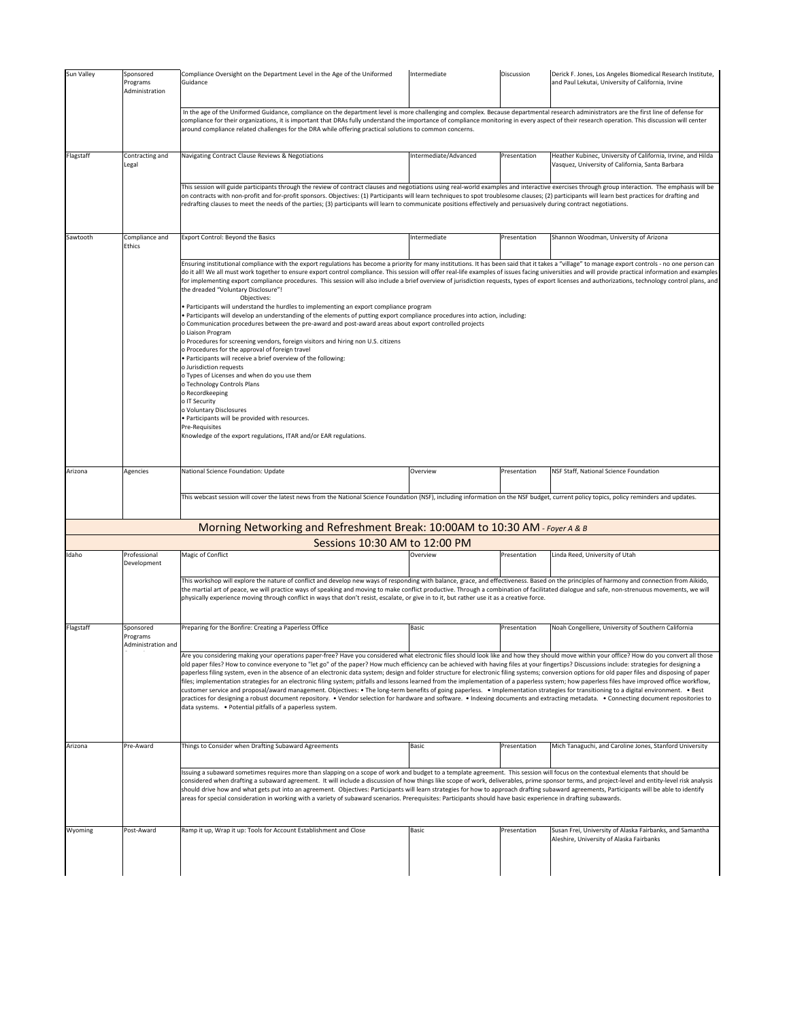|           | Sponsored<br>Programs<br>Administration     | Compliance Oversight on the Department Level in the Age of the Uniformed<br>Guidance                                                                                                                                                                                                                                                                                                                                                                                                                                                                                                                                                                                                                                                                                                                                                                                                                                                                                                                                                                                                                                                                                                                                                                                                                                                                                                                                                                                                                                                                            | Intermediate                                                                                                                                                                                                                                                                                                                                                                                                                                                                                                                               | Discussion   | Derick F. Jones, Los Angeles Biomedical Research Institute,<br>and Paul Lekutai, University of California, Irvine |  |  |  |
|-----------|---------------------------------------------|-----------------------------------------------------------------------------------------------------------------------------------------------------------------------------------------------------------------------------------------------------------------------------------------------------------------------------------------------------------------------------------------------------------------------------------------------------------------------------------------------------------------------------------------------------------------------------------------------------------------------------------------------------------------------------------------------------------------------------------------------------------------------------------------------------------------------------------------------------------------------------------------------------------------------------------------------------------------------------------------------------------------------------------------------------------------------------------------------------------------------------------------------------------------------------------------------------------------------------------------------------------------------------------------------------------------------------------------------------------------------------------------------------------------------------------------------------------------------------------------------------------------------------------------------------------------|--------------------------------------------------------------------------------------------------------------------------------------------------------------------------------------------------------------------------------------------------------------------------------------------------------------------------------------------------------------------------------------------------------------------------------------------------------------------------------------------------------------------------------------------|--------------|-------------------------------------------------------------------------------------------------------------------|--|--|--|
|           |                                             | In the age of the Uniformed Guidance, compliance on the department level is more challenging and complex. Because departmental research administrators are the first line of defense for<br>compliance for their organizations, it is important that DRAs fully understand the importance of compliance monitoring in every aspect of their research operation. This discussion will center<br>around compliance related challenges for the DRA while offering practical solutions to common concerns.                                                                                                                                                                                                                                                                                                                                                                                                                                                                                                                                                                                                                                                                                                                                                                                                                                                                                                                                                                                                                                                          |                                                                                                                                                                                                                                                                                                                                                                                                                                                                                                                                            |              |                                                                                                                   |  |  |  |
| Flagstaff | Contracting and<br>Legal                    | Navigating Contract Clause Reviews & Negotiations                                                                                                                                                                                                                                                                                                                                                                                                                                                                                                                                                                                                                                                                                                                                                                                                                                                                                                                                                                                                                                                                                                                                                                                                                                                                                                                                                                                                                                                                                                               | Intermediate/Advanced                                                                                                                                                                                                                                                                                                                                                                                                                                                                                                                      | Presentation | Heather Kubinec, University of California, Irvine, and Hilda<br>Vasquez, University of California, Santa Barbara  |  |  |  |
|           |                                             | This session will guide participants through the review of contract clauses and negotiations using real-world examples and interactive exercises through group interaction. The emphasis will be<br>on contracts with non-profit and for-profit sponsors. Objectives: (1) Participants will learn techniques to spot troublesome clauses; (2) participants will learn best practices for drafting and<br>redrafting clauses to meet the needs of the parties; (3) participants will learn to communicate positions effectively and persuasively during contract negotiations.                                                                                                                                                                                                                                                                                                                                                                                                                                                                                                                                                                                                                                                                                                                                                                                                                                                                                                                                                                                   |                                                                                                                                                                                                                                                                                                                                                                                                                                                                                                                                            |              |                                                                                                                   |  |  |  |
| Sawtooth  | Compliance and<br>Ethics                    | Export Control: Beyond the Basics                                                                                                                                                                                                                                                                                                                                                                                                                                                                                                                                                                                                                                                                                                                                                                                                                                                                                                                                                                                                                                                                                                                                                                                                                                                                                                                                                                                                                                                                                                                               | Intermediate                                                                                                                                                                                                                                                                                                                                                                                                                                                                                                                               | Presentation | Shannon Woodman, University of Arizona                                                                            |  |  |  |
|           |                                             | Ensuring institutional compliance with the export regulations has become a priority for many institutions. It has been said that it takes a "village" to manage export controls - no one person can<br>do it all! We all must work together to ensure export control compliance. This session will offer real-life examples of issues facing universities and will provide practical information and examples<br>for implementing export compliance procedures. This session will also include a brief overview of jurisdiction requests, types of export licenses and authorizations, technology control plans, and<br>the dreaded "Voluntary Disclosure"!<br>Objectives:<br>• Participants will understand the hurdles to implementing an export compliance program<br>· Participants will develop an understanding of the elements of putting export compliance procedures into action, including:<br>o Communication procedures between the pre-award and post-award areas about export controlled projects<br>o Liaison Program<br>o Procedures for screening vendors, foreign visitors and hiring non U.S. citizens<br>o Procedures for the approval of foreign travel<br>Participants will receive a brief overview of the following:<br>o Jurisdiction requests<br>o Types of Licenses and when do you use them<br>o Technology Controls Plans<br>o Recordkeeping<br>o IT Security<br>o Voluntary Disclosures<br>· Participants will be provided with resources.<br>Pre-Requisites<br>Knowledge of the export regulations, ITAR and/or EAR regulations. |                                                                                                                                                                                                                                                                                                                                                                                                                                                                                                                                            |              |                                                                                                                   |  |  |  |
| Arizona   | Agencies                                    | National Science Foundation: Update                                                                                                                                                                                                                                                                                                                                                                                                                                                                                                                                                                                                                                                                                                                                                                                                                                                                                                                                                                                                                                                                                                                                                                                                                                                                                                                                                                                                                                                                                                                             | Overview                                                                                                                                                                                                                                                                                                                                                                                                                                                                                                                                   | Presentation | NSF Staff, National Science Foundation                                                                            |  |  |  |
|           |                                             | This webcast session will cover the latest news from the National Science Foundation (NSF), including information on the NSF budget, current policy topics, policy reminders and updates.<br>Morning Networking and Refreshment Break: 10:00AM to 10:30 AM - Foyer A & B<br>Sessions 10:30 AM to 12:00 PM                                                                                                                                                                                                                                                                                                                                                                                                                                                                                                                                                                                                                                                                                                                                                                                                                                                                                                                                                                                                                                                                                                                                                                                                                                                       |                                                                                                                                                                                                                                                                                                                                                                                                                                                                                                                                            |              |                                                                                                                   |  |  |  |
| Idaho     | Professional                                | Magic of Conflict                                                                                                                                                                                                                                                                                                                                                                                                                                                                                                                                                                                                                                                                                                                                                                                                                                                                                                                                                                                                                                                                                                                                                                                                                                                                                                                                                                                                                                                                                                                                               | Overview                                                                                                                                                                                                                                                                                                                                                                                                                                                                                                                                   | Presentation | Linda Reed, University of Utah                                                                                    |  |  |  |
|           | Development                                 |                                                                                                                                                                                                                                                                                                                                                                                                                                                                                                                                                                                                                                                                                                                                                                                                                                                                                                                                                                                                                                                                                                                                                                                                                                                                                                                                                                                                                                                                                                                                                                 | This workshop will explore the nature of conflict and develop new ways of responding with balance, grace, and effectiveness. Based on the principles of harmony and connection from Aikido,<br>the martial art of peace, we will practice ways of speaking and moving to make conflict productive. Through a combination of facilitated dialogue and safe, non-strenuous movements, we will<br>physically experience moving through conflict in ways that don't resist, escalate, or give in to it, but rather use it as a creative force. |              |                                                                                                                   |  |  |  |
|           |                                             |                                                                                                                                                                                                                                                                                                                                                                                                                                                                                                                                                                                                                                                                                                                                                                                                                                                                                                                                                                                                                                                                                                                                                                                                                                                                                                                                                                                                                                                                                                                                                                 |                                                                                                                                                                                                                                                                                                                                                                                                                                                                                                                                            |              |                                                                                                                   |  |  |  |
| lagstaff  | Sponsored<br>Programs<br>Administration and | Preparing for the Bonfire: Creating a Paperless Office                                                                                                                                                                                                                                                                                                                                                                                                                                                                                                                                                                                                                                                                                                                                                                                                                                                                                                                                                                                                                                                                                                                                                                                                                                                                                                                                                                                                                                                                                                          | Basic                                                                                                                                                                                                                                                                                                                                                                                                                                                                                                                                      | Presentation | Noah Congelliere, University of Southern California                                                               |  |  |  |
|           |                                             | Are you considering making your operations paper-free? Have you considered what electronic files should look like and how they should move within your office? How do you convert all those<br>old paper files? How to convince everyone to "let go" of the paper? How much efficiency can be achieved with having files at your fingertips? Discussions include: strategies for designing a<br>paperless filing system, even in the absence of an electronic data system; design and folder structure for electronic filing systems; conversion options for old paper files and disposing of paper<br>files; implementation strategies for an electronic filing system; pitfalls and lessons learned from the implementation of a paperless system; how paperless files have improved office workflow,<br>customer service and proposal/award management. Objectives: • The long-term benefits of going paperless. • Implementation strategies for transitioning to a digital environment. • Best<br>practices for designing a robust document repository. • Vendor selection for hardware and software. • Indexing documents and extracting metadata. • Connecting document repositories to<br>data systems. . Potential pitfalls of a paperless system.                                                                                                                                                                                                                                                                                                      |                                                                                                                                                                                                                                                                                                                                                                                                                                                                                                                                            |              |                                                                                                                   |  |  |  |
|           | Pre-Award                                   | Things to Consider when Drafting Subaward Agreements                                                                                                                                                                                                                                                                                                                                                                                                                                                                                                                                                                                                                                                                                                                                                                                                                                                                                                                                                                                                                                                                                                                                                                                                                                                                                                                                                                                                                                                                                                            | Basic                                                                                                                                                                                                                                                                                                                                                                                                                                                                                                                                      | Presentation | Mich Tanaguchi, and Caroline Jones, Stanford University                                                           |  |  |  |
| Arizona   |                                             | Issuing a subaward sometimes requires more than slapping on a scope of work and budget to a template agreement. This session will focus on the contextual elements that should be<br>considered when drafting a subaward agreement. It will include a discussion of how things like scope of work, deliverables, prime sponsor terms, and project-level and entity-level risk analysis<br>should drive how and what gets put into an agreement. Objectives: Participants will learn strategies for how to approach drafting subaward agreements, Participants will be able to identify<br>areas for special consideration in working with a variety of subaward scenarios. Prerequisites: Participants should have basic experience in drafting subawards.                                                                                                                                                                                                                                                                                                                                                                                                                                                                                                                                                                                                                                                                                                                                                                                                      |                                                                                                                                                                                                                                                                                                                                                                                                                                                                                                                                            |              |                                                                                                                   |  |  |  |
| Wyoming   | Post-Award                                  | Ramp it up, Wrap it up: Tools for Account Establishment and Close                                                                                                                                                                                                                                                                                                                                                                                                                                                                                                                                                                                                                                                                                                                                                                                                                                                                                                                                                                                                                                                                                                                                                                                                                                                                                                                                                                                                                                                                                               | Basic                                                                                                                                                                                                                                                                                                                                                                                                                                                                                                                                      | Presentation | Susan Frei, University of Alaska Fairbanks, and Samantha<br>Aleshire, University of Alaska Fairbanks              |  |  |  |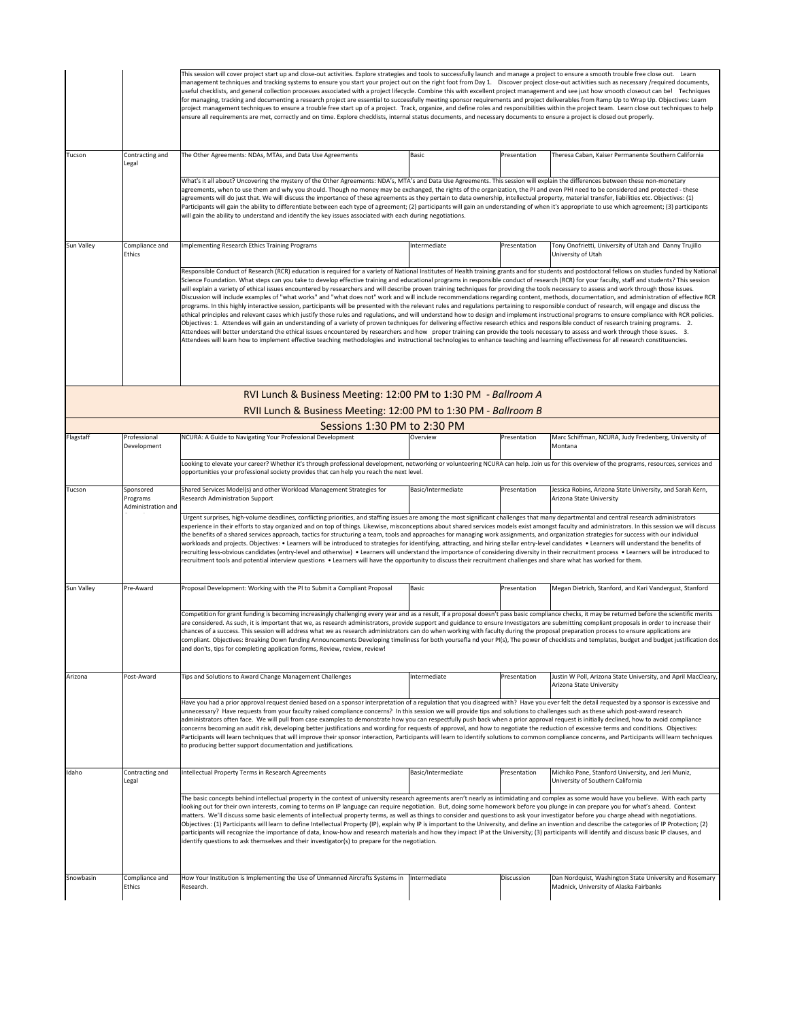|            |                                             | This session will cover project start up and close-out activities. Explore strategies and tools to successfully launch and manage a project to ensure a smooth trouble free close out. Learn<br>management techniques and tracking systems to ensure you start your project out on the right foot from Day 1. Discover project close-out activities such as necessary /required documents,<br>useful checklists, and general collection processes associated with a project lifecycle. Combine this with excellent project management and see just how smooth closeout can be! Techniques<br>for managing, tracking and documenting a research project are essential to successfully meeting sponsor requirements and project deliverables from Ramp Up to Wrap Up. Objectives: Learn<br>project management techniques to ensure a trouble free start up of a project. Track, organize, and define roles and responsibilities within the project team. Learn close out techniques to help<br>ensure all requirements are met, correctly and on time. Explore checklists, internal status documents, and necessary documents to ensure a project is closed out properly.                                                                                                                                                                                                                                                                                                                                                                                                                                                                                                                                                                                                           |                    |              |                                                                                           |  |  |  |
|------------|---------------------------------------------|-----------------------------------------------------------------------------------------------------------------------------------------------------------------------------------------------------------------------------------------------------------------------------------------------------------------------------------------------------------------------------------------------------------------------------------------------------------------------------------------------------------------------------------------------------------------------------------------------------------------------------------------------------------------------------------------------------------------------------------------------------------------------------------------------------------------------------------------------------------------------------------------------------------------------------------------------------------------------------------------------------------------------------------------------------------------------------------------------------------------------------------------------------------------------------------------------------------------------------------------------------------------------------------------------------------------------------------------------------------------------------------------------------------------------------------------------------------------------------------------------------------------------------------------------------------------------------------------------------------------------------------------------------------------------------------------------------------------------------------------------------------------------------------|--------------------|--------------|-------------------------------------------------------------------------------------------|--|--|--|
| Tucson     | Contracting and<br>Legal                    | The Other Agreements: NDAs, MTAs, and Data Use Agreements                                                                                                                                                                                                                                                                                                                                                                                                                                                                                                                                                                                                                                                                                                                                                                                                                                                                                                                                                                                                                                                                                                                                                                                                                                                                                                                                                                                                                                                                                                                                                                                                                                                                                                                         | Basic              | Presentation | Theresa Caban, Kaiser Permanente Southern California                                      |  |  |  |
|            |                                             | What's it all about? Uncovering the mystery of the Other Agreements: NDA's, MTA's and Data Use Agreements. This session will explain the differences between these non-monetary<br>agreements, when to use them and why you should. Though no money may be exchanged, the rights of the organization, the PI and even PHI need to be considered and protected - these<br>agreements will do just that. We will discuss the importance of these agreements as they pertain to data ownership, intellectual property, material transfer, liabilities etc. Objectives: (1)<br>Participants will gain the ability to differentiate between each type of agreement; (2) participants will gain an understanding of when it's appropriate to use which agreement; (3) participants<br>will gain the ability to understand and identify the key issues associated with each during negotiations.                                                                                                                                                                                                                                                                                                                                                                                                                                                                                                                                                                                                                                                                                                                                                                                                                                                                                         |                    |              |                                                                                           |  |  |  |
| Sun Valley | Compliance and<br>Ethics                    | Implementing Research Ethics Training Programs                                                                                                                                                                                                                                                                                                                                                                                                                                                                                                                                                                                                                                                                                                                                                                                                                                                                                                                                                                                                                                                                                                                                                                                                                                                                                                                                                                                                                                                                                                                                                                                                                                                                                                                                    | Intermediate       | Presentation | Tony Onofrietti, University of Utah and Danny Trujillo<br>University of Utah              |  |  |  |
|            |                                             | Responsible Conduct of Research (RCR) education is required for a variety of National Institutes of Health training grants and for students and postdoctoral fellows on studies funded by National<br>Science Foundation. What steps can you take to develop effective training and educational programs in responsible conduct of research (RCR) for your faculty, staff and students? This session<br>will explain a variety of ethical issues encountered by researchers and will describe proven training techniques for providing the tools necessary to assess and work through those issues.<br>Discussion will include examples of "what works" and "what does not" work and will include recommendations regarding content, methods, documentation, and administration of effective RCR<br>programs. In this highly interactive session, participants will be presented with the relevant rules and regulations pertaining to responsible conduct of research, will engage and discuss the<br>ethical principles and relevant cases which justify those rules and regulations, and will understand how to design and implement instructional programs to ensure compliance with RCR policies.<br>Objectives: 1. Attendees will gain an understanding of a variety of proven techniques for delivering effective research ethics and responsible conduct of research training programs. 2.<br>Attendees will better understand the ethical issues encountered by researchers and how proper training can provide the tools necessary to assess and work through those issues. 3.<br>Attendees will learn how to implement effective teaching methodologies and instructional technologies to enhance teaching and learning effectiveness for all research constituencies. |                    |              |                                                                                           |  |  |  |
|            |                                             | RVI Lunch & Business Meeting: 12:00 PM to 1:30 PM - Ballroom A<br>RVII Lunch & Business Meeting: 12:00 PM to 1:30 PM - Ballroom B                                                                                                                                                                                                                                                                                                                                                                                                                                                                                                                                                                                                                                                                                                                                                                                                                                                                                                                                                                                                                                                                                                                                                                                                                                                                                                                                                                                                                                                                                                                                                                                                                                                 |                    |              |                                                                                           |  |  |  |
|            |                                             | Sessions 1:30 PM to 2:30 PM                                                                                                                                                                                                                                                                                                                                                                                                                                                                                                                                                                                                                                                                                                                                                                                                                                                                                                                                                                                                                                                                                                                                                                                                                                                                                                                                                                                                                                                                                                                                                                                                                                                                                                                                                       |                    |              |                                                                                           |  |  |  |
| Flagstaff  | Professional<br>Development                 | NCURA: A Guide to Navigating Your Professional Development                                                                                                                                                                                                                                                                                                                                                                                                                                                                                                                                                                                                                                                                                                                                                                                                                                                                                                                                                                                                                                                                                                                                                                                                                                                                                                                                                                                                                                                                                                                                                                                                                                                                                                                        | Overview           | Presentation | Marc Schiffman, NCURA, Judy Fredenberg, University of<br>Montana                          |  |  |  |
|            |                                             | Looking to elevate your career? Whether it's through professional development, networking or volunteering NCURA can help. Join us for this overview of the programs, resources, services and<br>opportunities your professional society provides that can help you reach the next level.                                                                                                                                                                                                                                                                                                                                                                                                                                                                                                                                                                                                                                                                                                                                                                                                                                                                                                                                                                                                                                                                                                                                                                                                                                                                                                                                                                                                                                                                                          |                    |              |                                                                                           |  |  |  |
| Tucson     | Sponsored<br>Programs<br>Administration and | Shared Services Model(s) and other Workload Management Strategies for<br>Research Administration Support                                                                                                                                                                                                                                                                                                                                                                                                                                                                                                                                                                                                                                                                                                                                                                                                                                                                                                                                                                                                                                                                                                                                                                                                                                                                                                                                                                                                                                                                                                                                                                                                                                                                          | Basic/Intermediate | Presentation | Jessica Robins, Arizona State University, and Sarah Kern,<br>Arizona State University     |  |  |  |
|            |                                             | Urgent surprises, high-volume deadlines, conflicting priorities, and staffing issues are among the most significant challenges that many departmental and central research administrators<br>experience in their efforts to stay organized and on top of things. Likewise, misconceptions about shared services models exist amongst faculty and administrators. In this session we will discuss<br>the benefits of a shared services approach, tactics for structuring a team, tools and approaches for managing work assignments, and organization strategies for success with our individual<br>workloads and projects. Objectives: • Learners will be introduced to strategies for identifying, attracting, and hiring stellar entry-level candidates • Learners will understand the benefits of<br>recruiting less-obvious candidates (entry-level and otherwise) • Learners will understand the importance of considering diversity in their recruitment process • Learners will be introduced to<br>recruitment tools and potential interview questions • Learners will have the opportunity to discuss their recruitment challenges and share what has worked for them.                                                                                                                                                                                                                                                                                                                                                                                                                                                                                                                                                                                                   |                    |              |                                                                                           |  |  |  |
| Sun Valley | Pre-Award                                   | Proposal Development: Working with the PI to Submit a Compliant Proposal                                                                                                                                                                                                                                                                                                                                                                                                                                                                                                                                                                                                                                                                                                                                                                                                                                                                                                                                                                                                                                                                                                                                                                                                                                                                                                                                                                                                                                                                                                                                                                                                                                                                                                          | Basic              | Presentation | Megan Dietrich, Stanford, and Kari Vandergust, Stanford                                   |  |  |  |
|            |                                             | Competition for grant funding is becoming increasingly challenging every year and as a result, if a proposal doesn't pass basic compliance checks, it may be returned before the scientific merits<br>are considered. As such, it is important that we, as research administrators, provide support and guidance to ensure Investigators are submitting compliant proposals in order to increase their<br>chances of a success. This session will address what we as research administrators can do when working with faculty during the proposal preparation process to ensure applications are<br>compliant. Objectives: Breaking Down funding Announcements Developing timeliness for both yoursefla nd your PI(s), The power of checklists and templates, budget and budget justification dos<br>and don'ts, tips for completing application forms, Review, review, review!                                                                                                                                                                                                                                                                                                                                                                                                                                                                                                                                                                                                                                                                                                                                                                                                                                                                                                   |                    |              |                                                                                           |  |  |  |
| Arizona    | Post-Award                                  | Tips and Solutions to Award Change Management Challenges                                                                                                                                                                                                                                                                                                                                                                                                                                                                                                                                                                                                                                                                                                                                                                                                                                                                                                                                                                                                                                                                                                                                                                                                                                                                                                                                                                                                                                                                                                                                                                                                                                                                                                                          | Intermediate       | Presentation | Justin W Poll, Arizona State University, and April MacCleary,<br>Arizona State University |  |  |  |
|            |                                             | Have you had a prior approval request denied based on a sponsor interpretation of a regulation that you disagreed with? Have you ever felt the detail requested by a sponsor is excessive and<br>unnecessary? Have requests from your faculty raised compliance concerns? In this session we will provide tips and solutions to challenges such as these which post-award research<br>administrators often face. We will pull from case examples to demonstrate how you can respectfully push back when a prior approval request is initially declined, how to avoid compliance<br>concerns becoming an audit risk, developing better justifications and wording for requests of approval, and how to negotiate the reduction of excessive terms and conditions. Objectives:<br>Participants will learn techniques that will improve their sponsor interaction, Participants will learn to identify solutions to common compliance concerns, and Participants will learn techniques<br>to producing better support documentation and justifications.                                                                                                                                                                                                                                                                                                                                                                                                                                                                                                                                                                                                                                                                                                                              |                    |              |                                                                                           |  |  |  |
| daho       | Contracting and<br>Legal                    | Intellectual Property Terms in Research Agreements                                                                                                                                                                                                                                                                                                                                                                                                                                                                                                                                                                                                                                                                                                                                                                                                                                                                                                                                                                                                                                                                                                                                                                                                                                                                                                                                                                                                                                                                                                                                                                                                                                                                                                                                | Basic/Intermediate | Presentation | Michiko Pane, Stanford University, and Jeri Muniz,<br>University of Southern California   |  |  |  |
|            |                                             | The basic concepts behind intellectual property in the context of university research agreements aren't nearly as intimidating and complex as some would have you believe. With each party<br>looking out for their own interests, coming to terms on IP language can require negotiation. But, doing some homework before you plunge in can prepare you for what's ahead. Context<br>matters. We'll discuss some basic elements of intellectual property terms, as well as things to consider and questions to ask your investigator before you charge ahead with negotiations.<br>Objectives: (1) Participants will learn to define Intellectual Property (IP), explain why IP is important to the University, and define an invention and describe the categories of IP Protection; (2)<br>participants will recognize the importance of data, know-how and research materials and how they impact IP at the University; (3) participants will identify and discuss basic IP clauses, and<br>identify questions to ask themselves and their investigator(s) to prepare for the negotiation.                                                                                                                                                                                                                                                                                                                                                                                                                                                                                                                                                                                                                                                                                    |                    |              |                                                                                           |  |  |  |
| Snowbasin  | Compliance and                              | How Your Institution is Implementing the Use of Unmanned Aircrafts Systems in  Intermediate                                                                                                                                                                                                                                                                                                                                                                                                                                                                                                                                                                                                                                                                                                                                                                                                                                                                                                                                                                                                                                                                                                                                                                                                                                                                                                                                                                                                                                                                                                                                                                                                                                                                                       |                    | Discussion   | Dan Nordquist, Washington State University and Rosemary                                   |  |  |  |
|            | Ethics                                      | Research.                                                                                                                                                                                                                                                                                                                                                                                                                                                                                                                                                                                                                                                                                                                                                                                                                                                                                                                                                                                                                                                                                                                                                                                                                                                                                                                                                                                                                                                                                                                                                                                                                                                                                                                                                                         |                    |              | Madnick, University of Alaska Fairbanks                                                   |  |  |  |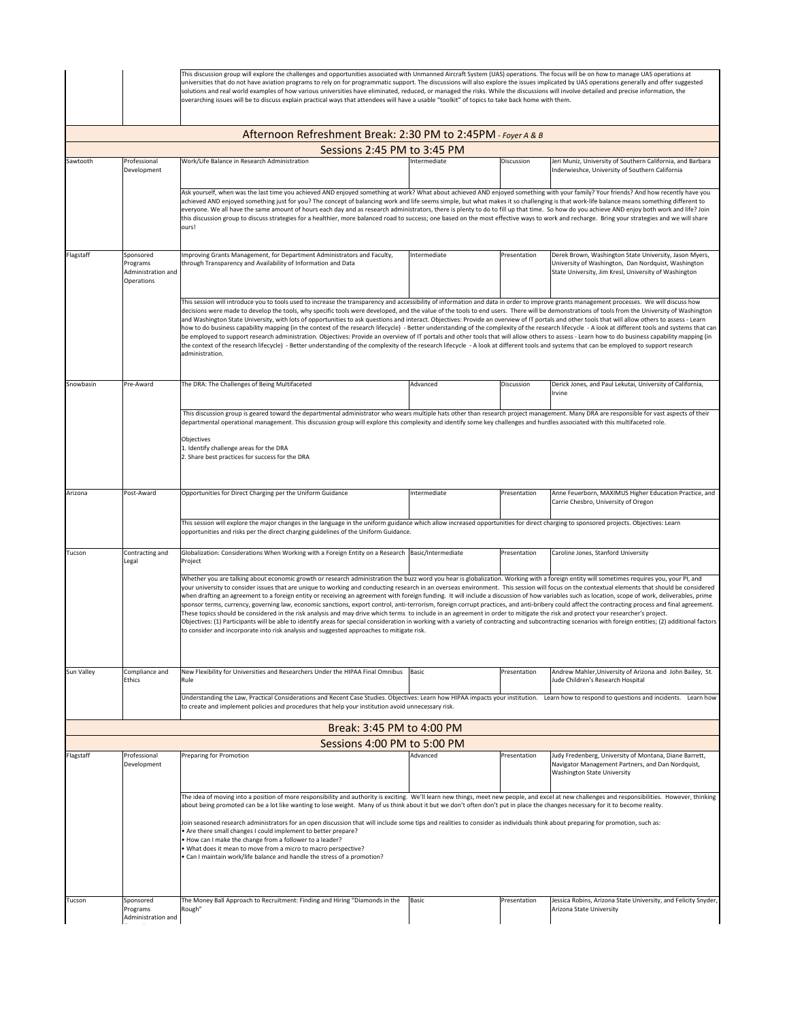|                                                                                                                                                                                                                                                                                                                                                                                                                                                                                                                                                                                                                                                                                                                                                                                                                                                                                                                                                                                                                                                                                                                                                                                                                              |                                                                                                                                                                                                                                                                                                                                                                                                                                                                                      | This discussion group will explore the challenges and opportunities associated with Unmanned Aircraft System (UAS) operations. The focus will be on how to manage UAS operations at<br>universities that do not have aviation programs to rely on for programmatic support. The discussions will also explore the issues implicated by UAS operations generally and offer suggested<br>solutions and real world examples of how various universities have eliminated, reduced, or managed the risks. While the discussions will involve detailed and precise information, the<br>overarching issues will be to discuss explain practical ways that attendees will have a usable "toolkit" of topics to take back home with them.                                                                                                                                                                                                                                                                                                                                                                                                                                                                                                                                                                    |              |              |                                                                                                                                                                        |  |  |
|------------------------------------------------------------------------------------------------------------------------------------------------------------------------------------------------------------------------------------------------------------------------------------------------------------------------------------------------------------------------------------------------------------------------------------------------------------------------------------------------------------------------------------------------------------------------------------------------------------------------------------------------------------------------------------------------------------------------------------------------------------------------------------------------------------------------------------------------------------------------------------------------------------------------------------------------------------------------------------------------------------------------------------------------------------------------------------------------------------------------------------------------------------------------------------------------------------------------------|--------------------------------------------------------------------------------------------------------------------------------------------------------------------------------------------------------------------------------------------------------------------------------------------------------------------------------------------------------------------------------------------------------------------------------------------------------------------------------------|-----------------------------------------------------------------------------------------------------------------------------------------------------------------------------------------------------------------------------------------------------------------------------------------------------------------------------------------------------------------------------------------------------------------------------------------------------------------------------------------------------------------------------------------------------------------------------------------------------------------------------------------------------------------------------------------------------------------------------------------------------------------------------------------------------------------------------------------------------------------------------------------------------------------------------------------------------------------------------------------------------------------------------------------------------------------------------------------------------------------------------------------------------------------------------------------------------------------------------------------------------------------------------------------------------|--------------|--------------|------------------------------------------------------------------------------------------------------------------------------------------------------------------------|--|--|
|                                                                                                                                                                                                                                                                                                                                                                                                                                                                                                                                                                                                                                                                                                                                                                                                                                                                                                                                                                                                                                                                                                                                                                                                                              |                                                                                                                                                                                                                                                                                                                                                                                                                                                                                      | Afternoon Refreshment Break: 2:30 PM to 2:45PM - Foyer A & B                                                                                                                                                                                                                                                                                                                                                                                                                                                                                                                                                                                                                                                                                                                                                                                                                                                                                                                                                                                                                                                                                                                                                                                                                                        |              |              |                                                                                                                                                                        |  |  |
|                                                                                                                                                                                                                                                                                                                                                                                                                                                                                                                                                                                                                                                                                                                                                                                                                                                                                                                                                                                                                                                                                                                                                                                                                              |                                                                                                                                                                                                                                                                                                                                                                                                                                                                                      | Sessions 2:45 PM to 3:45 PM                                                                                                                                                                                                                                                                                                                                                                                                                                                                                                                                                                                                                                                                                                                                                                                                                                                                                                                                                                                                                                                                                                                                                                                                                                                                         |              |              |                                                                                                                                                                        |  |  |
| Sawtooth                                                                                                                                                                                                                                                                                                                                                                                                                                                                                                                                                                                                                                                                                                                                                                                                                                                                                                                                                                                                                                                                                                                                                                                                                     | Professional<br>Development                                                                                                                                                                                                                                                                                                                                                                                                                                                          | Work/Life Balance in Research Administration                                                                                                                                                                                                                                                                                                                                                                                                                                                                                                                                                                                                                                                                                                                                                                                                                                                                                                                                                                                                                                                                                                                                                                                                                                                        | Intermediate | Discussion   | Jeri Muniz, University of Southern California, and Barbara<br>Inderwieshce, University of Southern California                                                          |  |  |
|                                                                                                                                                                                                                                                                                                                                                                                                                                                                                                                                                                                                                                                                                                                                                                                                                                                                                                                                                                                                                                                                                                                                                                                                                              |                                                                                                                                                                                                                                                                                                                                                                                                                                                                                      | Ask yourself, when was the last time you achieved AND enjoyed something at work? What about achieved AND enjoyed something with your family? Your friends? And how recently have you<br>achieved AND enjoyed something just for you? The concept of balancing work and life seems simple, but what makes it so challenging is that work-life balance means something different to<br>everyone. We all have the same amount of hours each day and as research administrators, there is plenty to do to fill up that time. So how do you achieve AND enjoy both work and life? Join<br>this discussion group to discuss strategies for a healthier, more balanced road to success; one based on the most effective ways to work and recharge. Bring your strategies and we will share<br>ours!                                                                                                                                                                                                                                                                                                                                                                                                                                                                                                        |              |              |                                                                                                                                                                        |  |  |
| Flagstaff                                                                                                                                                                                                                                                                                                                                                                                                                                                                                                                                                                                                                                                                                                                                                                                                                                                                                                                                                                                                                                                                                                                                                                                                                    | Sponsored<br>Programs<br>Administration and<br>Operations                                                                                                                                                                                                                                                                                                                                                                                                                            | Improving Grants Management, for Department Administrators and Faculty,<br>through Transparency and Availability of Information and Data                                                                                                                                                                                                                                                                                                                                                                                                                                                                                                                                                                                                                                                                                                                                                                                                                                                                                                                                                                                                                                                                                                                                                            | Intermediate | Presentation | Derek Brown, Washington State University, Jason Myers,<br>University of Washington, Dan Nordquist, Washington<br>State University, Jim Kresl, University of Washington |  |  |
| This session will introduce you to tools used to increase the transparency and accessibility of information and data in order to improve grants management processes. We will discuss how<br>decisions were made to develop the tools, why specific tools were developed, and the value of the tools to end users. There will be demonstrations of tools from the University of Washington<br>and Washington State University, with lots of opportunities to ask questions and interact. Objectives: Provide an overview of IT portals and other tools that will allow others to assess - Learn<br>how to do business capability mapping (in the context of the research lifecycle) - Better understanding of the complexity of the research lifecycle - A look at different tools and systems that can<br>be employed to support research administration. Objectives: Provide an overview of IT portals and other tools that will allow others to assess - Learn how to do business capability mapping (in<br>the context of the research lifecycle) - Better understanding of the complexity of the research lifecycle - A look at different tools and systems that can be employed to support research<br>administration. |                                                                                                                                                                                                                                                                                                                                                                                                                                                                                      |                                                                                                                                                                                                                                                                                                                                                                                                                                                                                                                                                                                                                                                                                                                                                                                                                                                                                                                                                                                                                                                                                                                                                                                                                                                                                                     |              |              |                                                                                                                                                                        |  |  |
| Snowbasin                                                                                                                                                                                                                                                                                                                                                                                                                                                                                                                                                                                                                                                                                                                                                                                                                                                                                                                                                                                                                                                                                                                                                                                                                    | Pre-Award                                                                                                                                                                                                                                                                                                                                                                                                                                                                            | The DRA: The Challenges of Being Multifaceted                                                                                                                                                                                                                                                                                                                                                                                                                                                                                                                                                                                                                                                                                                                                                                                                                                                                                                                                                                                                                                                                                                                                                                                                                                                       | Advanced     | Discussion   | Derick Jones, and Paul Lekutai, University of California,<br>Irvine                                                                                                    |  |  |
|                                                                                                                                                                                                                                                                                                                                                                                                                                                                                                                                                                                                                                                                                                                                                                                                                                                                                                                                                                                                                                                                                                                                                                                                                              | This discussion group is geared toward the departmental administrator who wears multiple hats other than research project management. Many DRA are responsible for vast aspects of their<br>departmental operational management. This discussion group will explore this complexity and identify some key challenges and hurdles associated with this multifaceted role.<br>Objectives<br>1. Identify challenge areas for the DRA<br>2. Share best practices for success for the DRA |                                                                                                                                                                                                                                                                                                                                                                                                                                                                                                                                                                                                                                                                                                                                                                                                                                                                                                                                                                                                                                                                                                                                                                                                                                                                                                     |              |              |                                                                                                                                                                        |  |  |
| Arizona                                                                                                                                                                                                                                                                                                                                                                                                                                                                                                                                                                                                                                                                                                                                                                                                                                                                                                                                                                                                                                                                                                                                                                                                                      | Post-Award                                                                                                                                                                                                                                                                                                                                                                                                                                                                           | Opportunities for Direct Charging per the Uniform Guidance                                                                                                                                                                                                                                                                                                                                                                                                                                                                                                                                                                                                                                                                                                                                                                                                                                                                                                                                                                                                                                                                                                                                                                                                                                          | Intermediate | Presentation | Anne Feuerborn, MAXIMUS Higher Education Practice, and                                                                                                                 |  |  |
|                                                                                                                                                                                                                                                                                                                                                                                                                                                                                                                                                                                                                                                                                                                                                                                                                                                                                                                                                                                                                                                                                                                                                                                                                              |                                                                                                                                                                                                                                                                                                                                                                                                                                                                                      | This session will explore the major changes in the language in the uniform guidance which allow increased opportunities for direct charging to sponsored projects. Objectives: Learn                                                                                                                                                                                                                                                                                                                                                                                                                                                                                                                                                                                                                                                                                                                                                                                                                                                                                                                                                                                                                                                                                                                |              |              | Carrie Chesbro, University of Oregon                                                                                                                                   |  |  |
|                                                                                                                                                                                                                                                                                                                                                                                                                                                                                                                                                                                                                                                                                                                                                                                                                                                                                                                                                                                                                                                                                                                                                                                                                              |                                                                                                                                                                                                                                                                                                                                                                                                                                                                                      | opportunities and risks per the direct charging guidelines of the Uniform Guidance.                                                                                                                                                                                                                                                                                                                                                                                                                                                                                                                                                                                                                                                                                                                                                                                                                                                                                                                                                                                                                                                                                                                                                                                                                 |              |              |                                                                                                                                                                        |  |  |
| Tucson                                                                                                                                                                                                                                                                                                                                                                                                                                                                                                                                                                                                                                                                                                                                                                                                                                                                                                                                                                                                                                                                                                                                                                                                                       | Contracting and<br>Legal                                                                                                                                                                                                                                                                                                                                                                                                                                                             | Globalization: Considerations When Working with a Foreign Entity on a Research   Basic/Intermediate<br>Project                                                                                                                                                                                                                                                                                                                                                                                                                                                                                                                                                                                                                                                                                                                                                                                                                                                                                                                                                                                                                                                                                                                                                                                      |              | Presentation | Caroline Jones, Stanford University                                                                                                                                    |  |  |
|                                                                                                                                                                                                                                                                                                                                                                                                                                                                                                                                                                                                                                                                                                                                                                                                                                                                                                                                                                                                                                                                                                                                                                                                                              |                                                                                                                                                                                                                                                                                                                                                                                                                                                                                      | Whether you are talking about economic growth or research administration the buzz word you hear is globalization. Working with a foreign entity will sometimes requires you, your PI, and<br>your university to consider issues that are unique to working and conducting research in an overseas environment. This session will focus on the contextual elements that should be considered<br>when drafting an agreement to a foreign entity or receiving an agreement with foreign funding. It will include a discussion of how variables such as location, scope of work, deliverables, prime<br>sponsor terms, currency, governing law, economic sanctions, export control, anti-terrorism, foreign corrupt practices, and anti-bribery could affect the contracting process and final agreement.<br>These topics should be considered in the risk analysis and may drive which terms to include in an agreement in order to mitigate the risk and protect your researcher's project.<br>Objectives: (1) Participants will be able to identify areas for special consideration in working with a variety of contracting and subcontracting scenarios with foreign entities; (2) additional factors<br>to consider and incorporate into risk analysis and suggested approaches to mitigate risk. |              |              |                                                                                                                                                                        |  |  |
| Sun Valley                                                                                                                                                                                                                                                                                                                                                                                                                                                                                                                                                                                                                                                                                                                                                                                                                                                                                                                                                                                                                                                                                                                                                                                                                   | Compliance and<br>Ethics                                                                                                                                                                                                                                                                                                                                                                                                                                                             | New Flexibility for Universities and Researchers Under the HIPAA Final Omnibus<br>Rule                                                                                                                                                                                                                                                                                                                                                                                                                                                                                                                                                                                                                                                                                                                                                                                                                                                                                                                                                                                                                                                                                                                                                                                                              | Basic        | Presentation | Andrew Mahler, University of Arizona and John Bailey, St.<br>Jude Children's Research Hospital                                                                         |  |  |
|                                                                                                                                                                                                                                                                                                                                                                                                                                                                                                                                                                                                                                                                                                                                                                                                                                                                                                                                                                                                                                                                                                                                                                                                                              |                                                                                                                                                                                                                                                                                                                                                                                                                                                                                      | Understanding the Law, Practical Considerations and Recent Case Studies. Objectives: Learn how HIPAA impacts your institution. Learn how to respond to questions and incidents. Learn how<br>to create and implement policies and procedures that help your institution avoid unnecessary risk.                                                                                                                                                                                                                                                                                                                                                                                                                                                                                                                                                                                                                                                                                                                                                                                                                                                                                                                                                                                                     |              |              |                                                                                                                                                                        |  |  |
|                                                                                                                                                                                                                                                                                                                                                                                                                                                                                                                                                                                                                                                                                                                                                                                                                                                                                                                                                                                                                                                                                                                                                                                                                              |                                                                                                                                                                                                                                                                                                                                                                                                                                                                                      | Break: 3:45 PM to 4:00 PM                                                                                                                                                                                                                                                                                                                                                                                                                                                                                                                                                                                                                                                                                                                                                                                                                                                                                                                                                                                                                                                                                                                                                                                                                                                                           |              |              |                                                                                                                                                                        |  |  |
|                                                                                                                                                                                                                                                                                                                                                                                                                                                                                                                                                                                                                                                                                                                                                                                                                                                                                                                                                                                                                                                                                                                                                                                                                              |                                                                                                                                                                                                                                                                                                                                                                                                                                                                                      | Sessions 4:00 PM to 5:00 PM                                                                                                                                                                                                                                                                                                                                                                                                                                                                                                                                                                                                                                                                                                                                                                                                                                                                                                                                                                                                                                                                                                                                                                                                                                                                         |              |              |                                                                                                                                                                        |  |  |
| Flagstaff                                                                                                                                                                                                                                                                                                                                                                                                                                                                                                                                                                                                                                                                                                                                                                                                                                                                                                                                                                                                                                                                                                                                                                                                                    | Professional<br>Development                                                                                                                                                                                                                                                                                                                                                                                                                                                          | Preparing for Promotion                                                                                                                                                                                                                                                                                                                                                                                                                                                                                                                                                                                                                                                                                                                                                                                                                                                                                                                                                                                                                                                                                                                                                                                                                                                                             | Advanced     | Presentation | Judy Fredenberg, University of Montana, Diane Barrett,<br>Navigator Management Partners, and Dan Nordquist,<br>Washington State University                             |  |  |
| The idea of moving into a position of more responsibility and authority is exciting. We'll learn new things, meet new people, and excel at new challenges and responsibilities. However, thinking<br>about being promoted can be a lot like wanting to lose weight. Many of us think about it but we don't often don't put in place the changes necessary for it to become reality.<br>Ioin seasoned research administrators for an open discussion that will include some tips and realities to consider as individuals think about preparing for promotion, such as:<br>Are there small changes I could implement to better prepare?<br>How can I make the change from a follower to a leader?<br>What does it mean to move from a micro to macro perspective?<br>Can I maintain work/life balance and handle the stress of a promotion?                                                                                                                                                                                                                                                                                                                                                                                   |                                                                                                                                                                                                                                                                                                                                                                                                                                                                                      |                                                                                                                                                                                                                                                                                                                                                                                                                                                                                                                                                                                                                                                                                                                                                                                                                                                                                                                                                                                                                                                                                                                                                                                                                                                                                                     |              |              |                                                                                                                                                                        |  |  |
| Tucson                                                                                                                                                                                                                                                                                                                                                                                                                                                                                                                                                                                                                                                                                                                                                                                                                                                                                                                                                                                                                                                                                                                                                                                                                       | Sponsored<br>Programs<br>Administration and                                                                                                                                                                                                                                                                                                                                                                                                                                          | The Money Ball Approach to Recruitment: Finding and Hiring "Diamonds in the<br>Rough"                                                                                                                                                                                                                                                                                                                                                                                                                                                                                                                                                                                                                                                                                                                                                                                                                                                                                                                                                                                                                                                                                                                                                                                                               | Basic        | Presentation | Jessica Robins, Arizona State University, and Felicity Snyder,<br>Arizona State University                                                                             |  |  |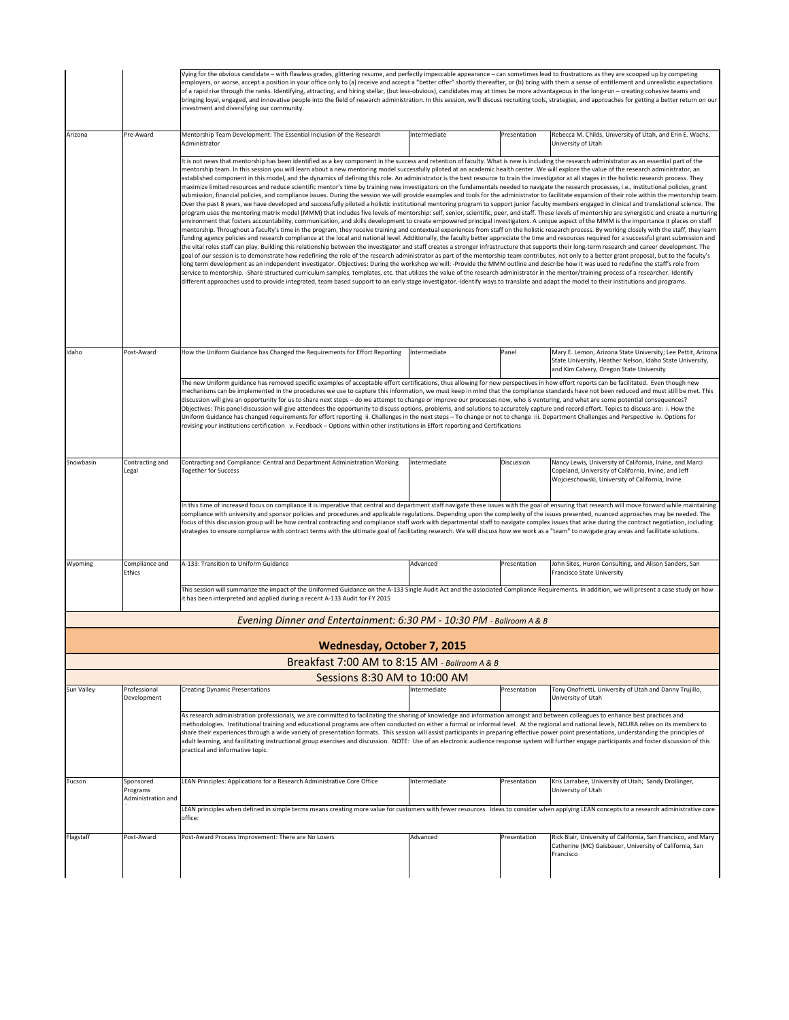|            |                                                                                                                                                                                                                                                                                                                                                                                                                                                                                                                                                                                                                                                                                                                                                                                                                                                                                                                                                                                                                                                                                                          | Vying for the obvious candidate - with flawless grades, glittering resume, and perfectly impeccable appearance - can sometimes lead to frustrations as they are scooped up by competing<br>employers, or worse, accept a position in your office only to (a) receive and accept a "better offer" shortly thereafter, or (b) bring with them a sense of entitlement and unrealistic expectations<br>of a rapid rise through the ranks. Identifying, attracting, and hiring stellar, (but less-obvious), candidates may at times be more advantageous in the long-run - creating cohesive teams and<br>bringing loyal, engaged, and innovative people into the field of research administration. In this session, we'll discuss recruiting tools, strategies, and approaches for getting a better return on our<br>investment and diversifying our community.                                                                                                                                                                                                                                                                                                                                                                                                                                                                                                                                                                                                                                                                                                                                                                                                                                                                                                                                                                                                                                                                                                                                                                                                                                                                                                                                                                                                                                                                                                                                                                                                                                                                                                                                                                                                                                                                                                                                                                                                                                                                                                                                                                        |              |              |                                                                                                                                                                       |  |  |  |
|------------|----------------------------------------------------------------------------------------------------------------------------------------------------------------------------------------------------------------------------------------------------------------------------------------------------------------------------------------------------------------------------------------------------------------------------------------------------------------------------------------------------------------------------------------------------------------------------------------------------------------------------------------------------------------------------------------------------------------------------------------------------------------------------------------------------------------------------------------------------------------------------------------------------------------------------------------------------------------------------------------------------------------------------------------------------------------------------------------------------------|------------------------------------------------------------------------------------------------------------------------------------------------------------------------------------------------------------------------------------------------------------------------------------------------------------------------------------------------------------------------------------------------------------------------------------------------------------------------------------------------------------------------------------------------------------------------------------------------------------------------------------------------------------------------------------------------------------------------------------------------------------------------------------------------------------------------------------------------------------------------------------------------------------------------------------------------------------------------------------------------------------------------------------------------------------------------------------------------------------------------------------------------------------------------------------------------------------------------------------------------------------------------------------------------------------------------------------------------------------------------------------------------------------------------------------------------------------------------------------------------------------------------------------------------------------------------------------------------------------------------------------------------------------------------------------------------------------------------------------------------------------------------------------------------------------------------------------------------------------------------------------------------------------------------------------------------------------------------------------------------------------------------------------------------------------------------------------------------------------------------------------------------------------------------------------------------------------------------------------------------------------------------------------------------------------------------------------------------------------------------------------------------------------------------------------------------------------------------------------------------------------------------------------------------------------------------------------------------------------------------------------------------------------------------------------------------------------------------------------------------------------------------------------------------------------------------------------------------------------------------------------------------------------------------------------------------------------------------------------------------------------------------------------|--------------|--------------|-----------------------------------------------------------------------------------------------------------------------------------------------------------------------|--|--|--|
| Arizona    | Pre-Award                                                                                                                                                                                                                                                                                                                                                                                                                                                                                                                                                                                                                                                                                                                                                                                                                                                                                                                                                                                                                                                                                                | Mentorship Team Development: The Essential Inclusion of the Research<br>Administrator                                                                                                                                                                                                                                                                                                                                                                                                                                                                                                                                                                                                                                                                                                                                                                                                                                                                                                                                                                                                                                                                                                                                                                                                                                                                                                                                                                                                                                                                                                                                                                                                                                                                                                                                                                                                                                                                                                                                                                                                                                                                                                                                                                                                                                                                                                                                                                                                                                                                                                                                                                                                                                                                                                                                                                                                                                                                                                                                              | Intermediate | Presentation | Rebecca M. Childs, University of Utah, and Erin E. Wachs,<br>University of Utah                                                                                       |  |  |  |
|            |                                                                                                                                                                                                                                                                                                                                                                                                                                                                                                                                                                                                                                                                                                                                                                                                                                                                                                                                                                                                                                                                                                          | It is not news that mentorship has been identified as a key component in the success and retention of faculty. What is new is including the research administrator as an essential part of the<br>mentorship team. In this session you will learn about a new mentoring model successfully piloted at an academic health center. We will explore the value of the research administrator, an<br>established component in this model, and the dynamics of defining this role. An administrator is the best resource to train the investigator at all stages in the holistic research process. They<br>maximize limited resources and reduce scientific mentor's time by training new investigators on the fundamentals needed to navigate the research processes, i.e., institutional policies, grant<br>submission, financial policies, and compliance issues. During the session we will provide examples and tools for the administrator to facilitate expansion of their role within the mentorship team.<br>Over the past 8 years, we have developed and successfully piloted a holistic institutional mentoring program to support junior faculty members engaged in clinical and translational science. The<br>program uses the mentoring matrix model (MMM) that includes five levels of mentorship: self, senior, scientific, peer, and staff. These levels of mentorship are synergistic and create a nurturing<br>environment that fosters accountability, communication, and skills development to create empowered principal investigators. A unique aspect of the MMM is the importance it places on staff<br>mentorship. Throughout a faculty's time in the program, they receive training and contextual experiences from staff on the holistic research process. By working closely with the staff, they learn<br>funding agency policies and research compliance at the local and national level. Additionally, the faculty better appreciate the time and resources required for a successful grant submission and<br>the vital roles staff can play. Building this relationship between the investigator and staff creates a stronger infrastructure that supports their long-term research and career development. The<br>goal of our session is to demonstrate how redefining the role of the research administrator as part of the mentorship team contributes, not only to a better grant proposal, but to the faculty's<br>long term development as an independent investigator. Objectives: During the workshop we will: -Provide the MMM outline and describe how it was used to redefine the staff's role from<br>service to mentorship. -Share structured curriculum samples, templates, etc. that utilizes the value of the research administrator in the mentor/training process of a researcher.-Identify<br>different approaches used to provide integrated, team based support to an early stage investigator.-Identify ways to translate and adapt the model to their institutions and programs. |              |              |                                                                                                                                                                       |  |  |  |
| Idaho      | Post-Award                                                                                                                                                                                                                                                                                                                                                                                                                                                                                                                                                                                                                                                                                                                                                                                                                                                                                                                                                                                                                                                                                               | How the Uniform Guidance has Changed the Requirements for Effort Reporting                                                                                                                                                                                                                                                                                                                                                                                                                                                                                                                                                                                                                                                                                                                                                                                                                                                                                                                                                                                                                                                                                                                                                                                                                                                                                                                                                                                                                                                                                                                                                                                                                                                                                                                                                                                                                                                                                                                                                                                                                                                                                                                                                                                                                                                                                                                                                                                                                                                                                                                                                                                                                                                                                                                                                                                                                                                                                                                                                         | Intermediate | Panel        | Mary E. Lemon, Arizona State University; Lee Pettit, Arizona<br>State University, Heather Nelson, Idaho State University,<br>and Kim Calvery, Oregon State University |  |  |  |
|            | The new Uniform guidance has removed specific examples of acceptable effort certifications, thus allowing for new perspectives in how effort reports can be facilitated. Even though new<br>mechanisms can be implemented in the procedures we use to capture this information, we must keep in mind that the compliance standards have not been reduced and must still be met. This<br>discussion will give an opportunity for us to share next steps - do we attempt to change or improve our processes now, who is venturing, and what are some potential consequences?<br>Objectives: This panel discussion will give attendees the opportunity to discuss options, problems, and solutions to accurately capture and record effort. Topics to discuss are: i. How the<br>Uniform Guidance has changed requirements for effort reporting ii. Challenges in the next steps - To change or not to change iii. Department Challenges and Perspective iv. Options for<br>revising your institutions certification v. Feedback - Options within other institutions in Effort reporting and Certifications |                                                                                                                                                                                                                                                                                                                                                                                                                                                                                                                                                                                                                                                                                                                                                                                                                                                                                                                                                                                                                                                                                                                                                                                                                                                                                                                                                                                                                                                                                                                                                                                                                                                                                                                                                                                                                                                                                                                                                                                                                                                                                                                                                                                                                                                                                                                                                                                                                                                                                                                                                                                                                                                                                                                                                                                                                                                                                                                                                                                                                                    |              |              |                                                                                                                                                                       |  |  |  |
| Snowbasin  | Contracting and<br>Legal                                                                                                                                                                                                                                                                                                                                                                                                                                                                                                                                                                                                                                                                                                                                                                                                                                                                                                                                                                                                                                                                                 | Contracting and Compliance: Central and Department Administration Working<br><b>Together for Success</b>                                                                                                                                                                                                                                                                                                                                                                                                                                                                                                                                                                                                                                                                                                                                                                                                                                                                                                                                                                                                                                                                                                                                                                                                                                                                                                                                                                                                                                                                                                                                                                                                                                                                                                                                                                                                                                                                                                                                                                                                                                                                                                                                                                                                                                                                                                                                                                                                                                                                                                                                                                                                                                                                                                                                                                                                                                                                                                                           | Intermediate | Discussion   | Nancy Lewis, University of California, Irvine, and Marci<br>Copeland, University of California, Irvine, and Jeff<br>Wojcieschowski, University of California, Irvine  |  |  |  |
|            |                                                                                                                                                                                                                                                                                                                                                                                                                                                                                                                                                                                                                                                                                                                                                                                                                                                                                                                                                                                                                                                                                                          | In this time of increased focus on compliance it is imperative that central and department staff navigate these issues with the goal of ensuring that research will move forward while maintaining<br>compliance with university and sponsor policies and procedures and applicable regulations. Depending upon the complexity of the issues presented, nuanced approaches may be needed. The<br>focus of this discussion group will be how central contracting and compliance staff work with departmental staff to navigate complex issues that arise during the contract negotiation, including<br>strategies to ensure compliance with contract terms with the ultimate goal of facilitating research. We will discuss how we work as a "team" to navigate gray areas and facilitate solutions.                                                                                                                                                                                                                                                                                                                                                                                                                                                                                                                                                                                                                                                                                                                                                                                                                                                                                                                                                                                                                                                                                                                                                                                                                                                                                                                                                                                                                                                                                                                                                                                                                                                                                                                                                                                                                                                                                                                                                                                                                                                                                                                                                                                                                                |              |              |                                                                                                                                                                       |  |  |  |
| Wyoming    | Compliance and<br>Ethics                                                                                                                                                                                                                                                                                                                                                                                                                                                                                                                                                                                                                                                                                                                                                                                                                                                                                                                                                                                                                                                                                 | A-133: Transition to Uniform Guidance                                                                                                                                                                                                                                                                                                                                                                                                                                                                                                                                                                                                                                                                                                                                                                                                                                                                                                                                                                                                                                                                                                                                                                                                                                                                                                                                                                                                                                                                                                                                                                                                                                                                                                                                                                                                                                                                                                                                                                                                                                                                                                                                                                                                                                                                                                                                                                                                                                                                                                                                                                                                                                                                                                                                                                                                                                                                                                                                                                                              | Advanced     | Presentation | John Sites, Huron Consulting, and Alison Sanders, San<br><b>Francisco State University</b>                                                                            |  |  |  |
|            |                                                                                                                                                                                                                                                                                                                                                                                                                                                                                                                                                                                                                                                                                                                                                                                                                                                                                                                                                                                                                                                                                                          | This session will summarize the impact of the Uniformed Guidance on the A-133 Single Audit Act and the associated Compliance Requirements. In addition, we will present a case study on how<br>it has been interpreted and applied during a recent A-133 Audit for FY 2015                                                                                                                                                                                                                                                                                                                                                                                                                                                                                                                                                                                                                                                                                                                                                                                                                                                                                                                                                                                                                                                                                                                                                                                                                                                                                                                                                                                                                                                                                                                                                                                                                                                                                                                                                                                                                                                                                                                                                                                                                                                                                                                                                                                                                                                                                                                                                                                                                                                                                                                                                                                                                                                                                                                                                         |              |              |                                                                                                                                                                       |  |  |  |
|            |                                                                                                                                                                                                                                                                                                                                                                                                                                                                                                                                                                                                                                                                                                                                                                                                                                                                                                                                                                                                                                                                                                          | Evening Dinner and Entertainment: 6:30 PM - 10:30 PM - Ballroom A & B                                                                                                                                                                                                                                                                                                                                                                                                                                                                                                                                                                                                                                                                                                                                                                                                                                                                                                                                                                                                                                                                                                                                                                                                                                                                                                                                                                                                                                                                                                                                                                                                                                                                                                                                                                                                                                                                                                                                                                                                                                                                                                                                                                                                                                                                                                                                                                                                                                                                                                                                                                                                                                                                                                                                                                                                                                                                                                                                                              |              |              |                                                                                                                                                                       |  |  |  |
|            |                                                                                                                                                                                                                                                                                                                                                                                                                                                                                                                                                                                                                                                                                                                                                                                                                                                                                                                                                                                                                                                                                                          | Wednesday, October 7, 2015                                                                                                                                                                                                                                                                                                                                                                                                                                                                                                                                                                                                                                                                                                                                                                                                                                                                                                                                                                                                                                                                                                                                                                                                                                                                                                                                                                                                                                                                                                                                                                                                                                                                                                                                                                                                                                                                                                                                                                                                                                                                                                                                                                                                                                                                                                                                                                                                                                                                                                                                                                                                                                                                                                                                                                                                                                                                                                                                                                                                         |              |              |                                                                                                                                                                       |  |  |  |
|            |                                                                                                                                                                                                                                                                                                                                                                                                                                                                                                                                                                                                                                                                                                                                                                                                                                                                                                                                                                                                                                                                                                          | Breakfast 7:00 AM to 8:15 AM - Ballroom A & B<br>Sessions 8:30 AM to 10:00 AM                                                                                                                                                                                                                                                                                                                                                                                                                                                                                                                                                                                                                                                                                                                                                                                                                                                                                                                                                                                                                                                                                                                                                                                                                                                                                                                                                                                                                                                                                                                                                                                                                                                                                                                                                                                                                                                                                                                                                                                                                                                                                                                                                                                                                                                                                                                                                                                                                                                                                                                                                                                                                                                                                                                                                                                                                                                                                                                                                      |              |              |                                                                                                                                                                       |  |  |  |
| Sun Valley | Professional<br>Development                                                                                                                                                                                                                                                                                                                                                                                                                                                                                                                                                                                                                                                                                                                                                                                                                                                                                                                                                                                                                                                                              | <b>Creating Dynamic Presentations</b>                                                                                                                                                                                                                                                                                                                                                                                                                                                                                                                                                                                                                                                                                                                                                                                                                                                                                                                                                                                                                                                                                                                                                                                                                                                                                                                                                                                                                                                                                                                                                                                                                                                                                                                                                                                                                                                                                                                                                                                                                                                                                                                                                                                                                                                                                                                                                                                                                                                                                                                                                                                                                                                                                                                                                                                                                                                                                                                                                                                              | Intermediate | Presentation | Tony Onofrietti, University of Utah and Danny Trujillo,<br>University of Utah                                                                                         |  |  |  |
|            |                                                                                                                                                                                                                                                                                                                                                                                                                                                                                                                                                                                                                                                                                                                                                                                                                                                                                                                                                                                                                                                                                                          | As research administration professionals, we are committed to facilitating the sharing of knowledge and information amongst and between colleagues to enhance best practices and<br>methodologies. Institutional training and educational programs are often conducted on either a formal or informal level. At the regional and national levels, NCURA relies on its members to<br>share their experiences through a wide variety of presentation formats. This session will assist participants in preparing effective power point presentations, understanding the principles of<br>adult learning, and facilitating instructional group exercises and discussion. NOTE: Use of an electronic audience response system will further engage participants and foster discussion of this<br>practical and informative topic.                                                                                                                                                                                                                                                                                                                                                                                                                                                                                                                                                                                                                                                                                                                                                                                                                                                                                                                                                                                                                                                                                                                                                                                                                                                                                                                                                                                                                                                                                                                                                                                                                                                                                                                                                                                                                                                                                                                                                                                                                                                                                                                                                                                                       |              |              |                                                                                                                                                                       |  |  |  |
| Tucson     | Sponsored<br>Programs<br>Administration and                                                                                                                                                                                                                                                                                                                                                                                                                                                                                                                                                                                                                                                                                                                                                                                                                                                                                                                                                                                                                                                              | LEAN Principles: Applications for a Research Administrative Core Office                                                                                                                                                                                                                                                                                                                                                                                                                                                                                                                                                                                                                                                                                                                                                                                                                                                                                                                                                                                                                                                                                                                                                                                                                                                                                                                                                                                                                                                                                                                                                                                                                                                                                                                                                                                                                                                                                                                                                                                                                                                                                                                                                                                                                                                                                                                                                                                                                                                                                                                                                                                                                                                                                                                                                                                                                                                                                                                                                            | Intermediate | Presentation | Kris Larrabee, University of Utah; Sandy Drollinger,<br>University of Utah                                                                                            |  |  |  |
|            |                                                                                                                                                                                                                                                                                                                                                                                                                                                                                                                                                                                                                                                                                                                                                                                                                                                                                                                                                                                                                                                                                                          | LEAN principles when defined in simple terms means creating more value for customers with fewer resources. Ideas to consider when applying LEAN concepts to a research administrative core<br>office:                                                                                                                                                                                                                                                                                                                                                                                                                                                                                                                                                                                                                                                                                                                                                                                                                                                                                                                                                                                                                                                                                                                                                                                                                                                                                                                                                                                                                                                                                                                                                                                                                                                                                                                                                                                                                                                                                                                                                                                                                                                                                                                                                                                                                                                                                                                                                                                                                                                                                                                                                                                                                                                                                                                                                                                                                              |              |              |                                                                                                                                                                       |  |  |  |
| Flagstaff  | Post-Award                                                                                                                                                                                                                                                                                                                                                                                                                                                                                                                                                                                                                                                                                                                                                                                                                                                                                                                                                                                                                                                                                               | Post-Award Process Improvement: There are No Losers                                                                                                                                                                                                                                                                                                                                                                                                                                                                                                                                                                                                                                                                                                                                                                                                                                                                                                                                                                                                                                                                                                                                                                                                                                                                                                                                                                                                                                                                                                                                                                                                                                                                                                                                                                                                                                                                                                                                                                                                                                                                                                                                                                                                                                                                                                                                                                                                                                                                                                                                                                                                                                                                                                                                                                                                                                                                                                                                                                                | Advanced     | Presentation | Rick Blair, University of California, San Francisco, and Mary<br>Catherine (MC) Gaisbauer, University of California, San<br>Francisco                                 |  |  |  |